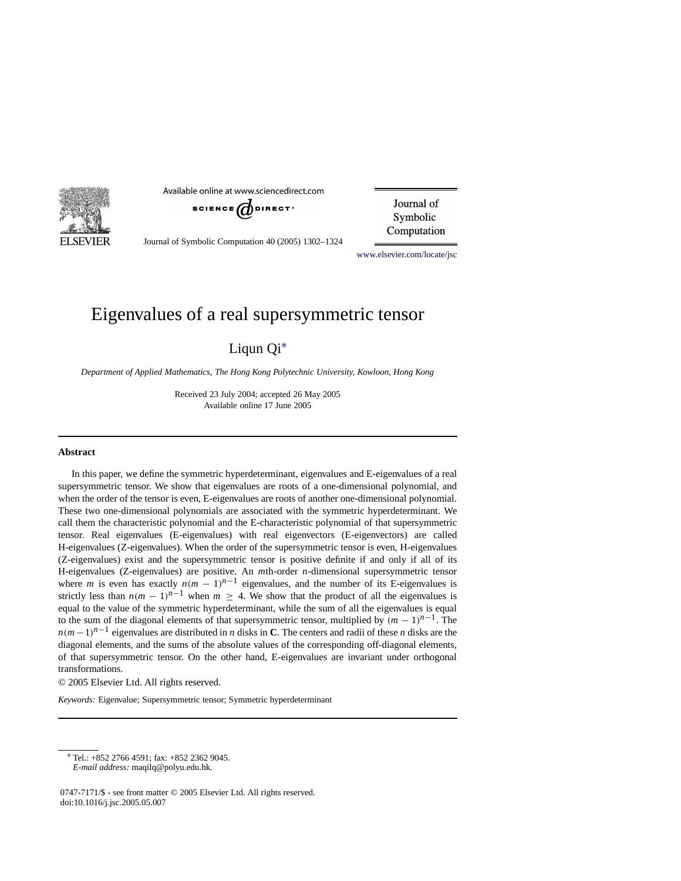

Available online at www.sciencedirect.com



Journal of Symbolic Computation

Journal of Symbolic Computation 40 (2005) 1302–1324

[www.elsevier.com/locate/jsc](http://www.elsevier.com/locate/jsc)

# Eigenvalues of a real supersymmetric tensor

Liqun Qi[∗](#page-0-0)

*Department of Applied Mathematics, The Hong Kong Polytechnic University, Kowloon, Hong Kong*

Received 23 July 2004; accepted 26 May 2005 Available online 17 June 2005

#### **Abstract**

In this paper, we define the symmetric hyperdeterminant, eigenvalues and E-eigenvalues of a real supersymmetric tensor. We show that eigenvalues are roots of a one-dimensional polynomial, and when the order of the tensor is even, E-eigenvalues are roots of another one-dimensional polynomial. These two one-dimensional polynomials are associated with the symmetric hyperdeterminant. We call them the characteristic polynomial and the E-characteristic polynomial of that supersymmetric tensor. Real eigenvalues (E-eigenvalues) with real eigenvectors (E-eigenvectors) are called H-eigenvalues (Z-eigenvalues). When the order of the supersymmetric tensor is even, H-eigenvalues (Z-eigenvalues) exist and the supersymmetric tensor is positive definite if and only if all of its H-eigenvalues (Z-eigenvalues) are positive. An *m*th-order *n*-dimensional supersymmetric tensor where *m* is even has exactly  $n(m - 1)^{n-1}$  eigenvalues, and the number of its E-eigenvalues is strictly less than  $n(m - 1)^{n-1}$  when  $m \geq 4$ . We show that the product of all the eigenvalues is equal to the value of the symmetric hyperdeterminant, while the sum of all the eigenvalues is equal to the sum of the diagonal elements of that supersymmetric tensor, multiplied by  $(m - 1)^{n-1}$ . The  $n(m-1)^{n-1}$  eigenvalues are distributed in *n* disks in **C**. The centers and radii of these *n* disks are the diagonal elements, and the sums of the absolute values of the corresponding off-diagonal elements, of that supersymmetric tensor. On the other hand, E-eigenvalues are invariant under orthogonal transformations.

© 2005 Elsevier Ltd. All rights reserved.

*Keywords:* Eigenvalue; Supersymmetric tensor; Symmetric hyperdeterminant

<span id="page-0-0"></span><sup>∗</sup> Tel.: +852 2766 4591; fax: +852 2362 9045.

*E-mail address:* maqilq@polyu.edu.hk.

<sup>0747-7171/\$ -</sup> see front matter © 2005 Elsevier Ltd. All rights reserved. doi:10.1016/j.jsc.2005.05.007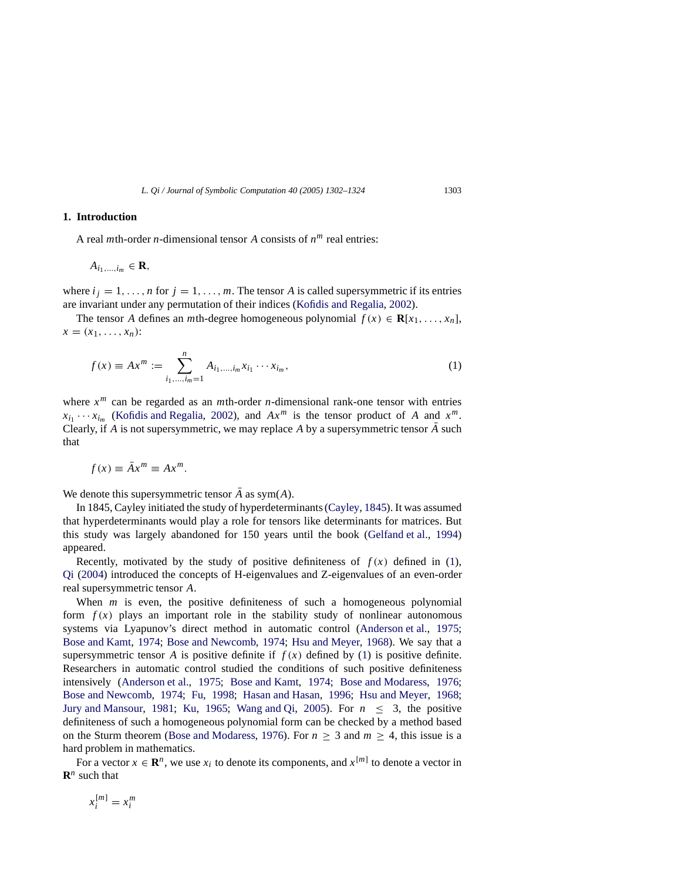# **1. Introduction**

A real *m*th-order *n*-dimensional tensor *A* consists of *n<sup>m</sup>* real entries:

$$
A_{i_1,\ldots,i_m}\in\mathbf{R},
$$

where  $i_j = 1, \ldots, n$  for  $j = 1, \ldots, m$ . The tensor *A* is called supersymmetric if its entries are invariant under any permutation of their indices [\(Kofidis and Regalia](#page-22-0), [2002](#page-22-0)).

<span id="page-1-0"></span>The tensor *A* defines an *m*th-degree homogeneous polynomial  $f(x) \in \mathbf{R}[x_1, \ldots, x_n]$ ,  $x = (x_1, \ldots, x_n)$ :

$$
f(x) \equiv Ax^{m} := \sum_{i_1, \dots, i_m = 1}^{n} A_{i_1, \dots, i_m} x_{i_1} \cdots x_{i_m},
$$
\n(1)

where *x<sup>m</sup>* can be regarded as an *m*th-order *n*-dimensional rank-one tensor with entries  $x_{i_1} \cdots x_{i_m}$  [\(Kofidis and Regalia,](#page-22-0) [2002\)](#page-22-0), and  $Ax^m$  is the tensor product of *A* and  $x^m$ . Clearly, if *A* is not supersymmetric, we may replace *A* by a supersymmetric tensor  $\overline{A}$  such that

$$
f(x) \equiv \bar{A}x^m \equiv Ax^m.
$$

We denote this supersymmetric tensor  $\overline{A}$  as sym( $A$ ).

In 1845, Cayley initiated the study of hyperdeterminants [\(Cayley](#page-22-1), [1845\)](#page-22-1). It was assumed that hyperdeterminants would play a role for tensors like determinants for matrices. But this study was largely abandoned for 150 years until the book [\(Gelfand et al.,](#page-22-2) [1994\)](#page-22-2) appeared.

Recently, motivated by the study of positive definiteness of  $f(x)$  defined in [\(1\)](#page-1-0), [Qi](#page-22-3) [\(2004](#page-22-3)) introduced the concepts of H-eigenvalues and Z-eigenvalues of an even-order real supersymmetric tensor *A*.

When *m* is even, the positive definiteness of such a homogeneous polynomial form  $f(x)$  plays an important role in the stability study of nonlinear autonomous systems via Lyapunov's direct method in automatic control [\(Anderson et al.](#page-21-0), [1975;](#page-21-0) [Bose and Kamt,](#page-22-4) [1974;](#page-22-4) [Bose and Newcomb](#page-22-5), [1974](#page-22-5); [Hsu and](#page-22-6) Meyer, [1968\)](#page-22-6). We say that a supersymmetric tensor *A* is positive definite if  $f(x)$  defined by [\(1\)](#page-1-0) is positive definite. Researchers in automatic control studied the conditions of such positive definiteness intensively [\(Anderson et al.,](#page-21-0) [1975;](#page-21-0) [Bose and Kamt,](#page-22-4) [1974](#page-22-4); [Bose and Modaress,](#page-22-7) [1976;](#page-22-7) [Bose and Newcomb,](#page-22-5) [1974](#page-22-5); [Fu,](#page-22-8) [1998;](#page-22-8) [Hasan and Hasan,](#page-22-9) [1996;](#page-22-9) [Hsu and](#page-22-6) Meyer, [1968;](#page-22-6) [Jury and Mansour,](#page-22-10) [1981;](#page-22-10) [Ku,](#page-22-11) [1965;](#page-22-11) [Wang and Qi](#page-22-12), [2005](#page-22-12)). For  $n \leq 3$ , the positive definiteness of such a homogeneous polynomial form can be checked by a method based on the Sturm theorem [\(Bose and Modaress,](#page-22-7) [1976\)](#page-22-7). For  $n \geq 3$  and  $m \geq 4$ , this issue is a hard problem in mathematics.

For a vector  $x \in \mathbb{R}^n$ , we use  $x_i$  to denote its components, and  $x^{[m]}$  to denote a vector in  $\mathbf{R}^n$  such that

$$
x_i^{[m]} = x_i^m
$$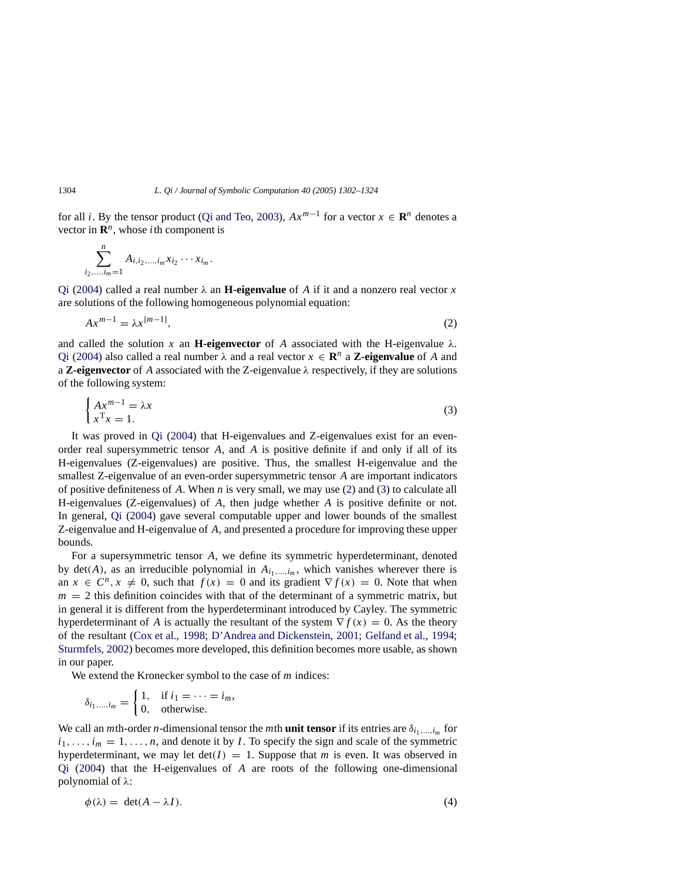for all *i*. By the tensor product [\(Qi and Teo,](#page-22-13) [2003\)](#page-22-13),  $Ax^{m-1}$  for a vector  $x \in \mathbb{R}^n$  denotes a vector in  $\mathbb{R}^n$ , whose *i*th component is

$$
\sum_{i_2,\dots,i_m=1}^n A_{i,i_2,\dots,i_m} x_{i_2} \cdots x_{i_m}.
$$

[Qi](#page-22-3) [\(2004\)](#page-22-3) called a real number  $\lambda$  an **H-eigenvalue** of *A* if it and a nonzero real vector *x* are solutions of the following homogeneous polynomial equation:

<span id="page-2-0"></span>
$$
Ax^{m-1} = \lambda x^{[m-1]},\tag{2}
$$

and called the solution x an **H-eigenvector** of A associated with the H-eigenvalue  $\lambda$ . [Qi](#page-22-3) [\(2004\)](#page-22-3) also called a real number  $\lambda$  and a real vector  $x \in \mathbb{R}^n$  a **Z-eigenvalue** of A and a **Z-eigenvector** of *A* associated with the Z-eigenvalue  $\lambda$  respectively, if they are solutions of the following system:

<span id="page-2-1"></span>
$$
\begin{cases} Ax^{m-1} = \lambda x \\ x^{\mathrm{T}} x = 1. \end{cases} \tag{3}
$$

It was proved in [Qi](#page-22-3) [\(2004\)](#page-22-3) that H-eigenvalues and Z-eigenvalues exist for an evenorder real supersymmetric tensor *A*, and *A* is positive definite if and only if all of its H-eigenvalues (Z-eigenvalues) are positive. Thus, the smallest H-eigenvalue and the smallest Z-eigenvalue of an even-order supersymmetric tensor *A* are important indicators of positive definiteness of *A*. When *n* is very small, we may use [\(2\)](#page-2-0) and [\(3\)](#page-2-1) to calculate all H-eigenvalues (Z-eigenvalues) of *A*, then judge whether *A* is positive definite or not. In general, [Qi](#page-22-3) [\(2004\)](#page-22-3) gave several computable upper and lower bounds of the smallest Z-eigenvalue and H-eigenvalue of *A*, and presented a procedure for improving these upper bounds.

For a supersymmetric tensor *A*, we define its symmetric hyperdeterminant, denoted by  $det(A)$ , as an irreducible polynomial in  $A_{i_1,\dots,i_m}$ , which vanishes wherever there is an  $x \in C^n$ ,  $x \neq 0$ , such that  $f(x) = 0$  and its gradient  $\nabla f(x) = 0$ . Note that when  $m = 2$  this definition coincides with that of the determinant of a symmetric matrix, but in general it is different from the hyperdeterminant introduced by Cayley. The symmetric hyperdeterminant of *A* is actually the resultant of the system  $\nabla f(x) = 0$ . As the theory of the resultant [\(Cox et al.,](#page-22-14) [1998;](#page-22-14) [D'Andrea and Dickenstein](#page-22-15), [2001;](#page-22-15) [Gelfand et al.,](#page-22-2) [1994](#page-22-2); [Sturmfels](#page-22-16), [2002\)](#page-22-16) becomes more developed, this definition becomes more usable, as shown in our paper.

We extend the Kronecker symbol to the case of *m* indices:

$$
\delta_{i_1,\dots,i_m} = \begin{cases} 1, & \text{if } i_1 = \dots = i_m, \\ 0, & \text{otherwise.} \end{cases}
$$

We call an *m*th-order *n*-dimensional tensor the *m*th **unit tensor** if its entries are  $\delta_{i_1,\dots,i_m}$  for  $i_1, \ldots, i_m = 1, \ldots, n$ , and denote it by *I*. To specify the sign and scale of the symmetric hyperdeterminant, we may let  $det(I) = 1$ . Suppose that *m* is even. It was observed in [Qi](#page-22-3) [\(2004\)](#page-22-3) that the H-eigenvalues of *A* are roots of the following one-dimensional polynomial of λ:

<span id="page-2-2"></span>
$$
\phi(\lambda) = \det(A - \lambda I). \tag{4}
$$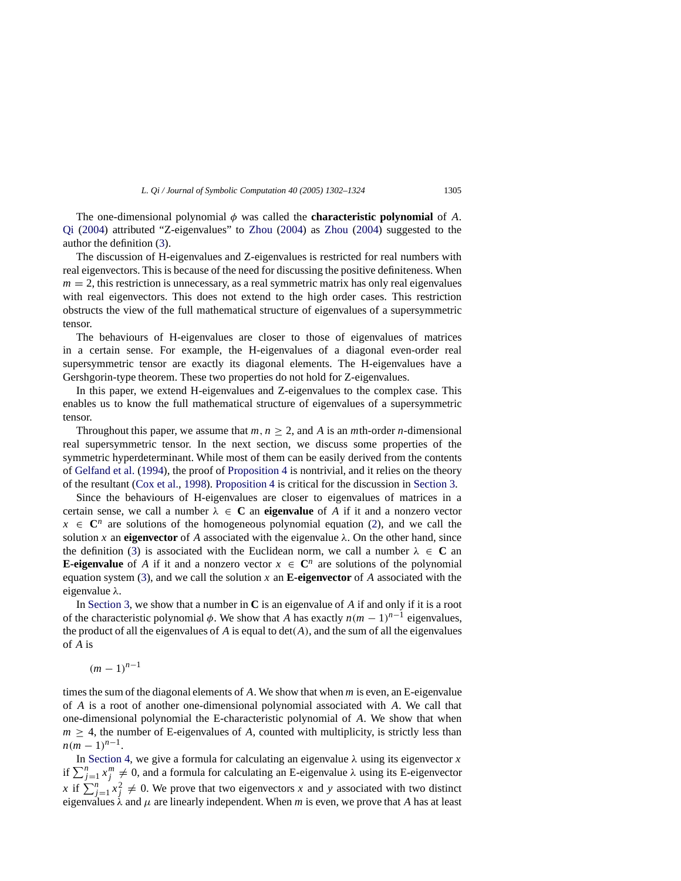The one-dimensional polynomial  $\phi$  was called the **characteristic polynomial** of *A*. [Qi](#page-22-3) [\(2004\)](#page-22-3) attributed "Z-eigenvalues" to [Zhou](#page-22-17) [\(2004\)](#page-22-17) as [Zhou](#page-22-17) [\(2004\)](#page-22-17) suggested to the author the definition [\(3\)](#page-2-1).

The discussion of H-eigenvalues and Z-eigenvalues is restricted for real numbers with real eigenvectors. This is because of the need for discussing the positive definiteness. When  $m = 2$ , this restriction is unnecessary, as a real symmetric matrix has only real eigenvalues with real eigenvectors. This does not extend to the high order cases. This restriction obstructs the view of the full mathematical structure of eigenvalues of a supersymmetric tensor.

The behaviours of H-eigenvalues are closer to those of eigenvalues of matrices in a certain sense. For example, the H-eigenvalues of a diagonal even-order real supersymmetric tensor are exactly its diagonal elements. The H-eigenvalues have a Gershgorin-type theorem. These two properties do not hold for Z-eigenvalues.

In this paper, we extend H-eigenvalues and Z-eigenvalues to the complex case. This enables us to know the full mathematical structure of eigenvalues of a supersymmetric tensor.

Throughout this paper, we assume that  $m, n > 2$ , and A is an *m*th-order *n*-dimensional real supersymmetric tensor. In the next section, we discuss some properties of the symmetric hyperdeterminant. While most of them can be easily derived from the contents of [Gelfand et al.](#page-22-2) [\(1994](#page-22-2)), the proof of [Proposition 4](#page-5-0) is nontrivial, and it relies on the theory of the resultant [\(Cox et al.,](#page-22-14) [1998\)](#page-22-14). [Proposition 4](#page-5-0) is critical for the discussion in [Section 3.](#page-8-0)

Since the behaviours of H-eigenvalues are closer to eigenvalues of matrices in a certain sense, we call a number  $\lambda \in \mathbb{C}$  an **eigenvalue** of A if it and a nonzero vector  $x \in \mathbb{C}^n$  are solutions of the homogeneous polynomial equation [\(2\)](#page-2-0), and we call the solution x an **eigenvector** of A associated with the eigenvalue  $\lambda$ . On the other hand, since the definition [\(3\)](#page-2-1) is associated with the Euclidean norm, we call a number  $\lambda \in \mathbb{C}$  an **E-eigenvalue** of *A* if it and a nonzero vector  $x \in \mathbb{C}^n$  are solutions of the polynomial equation system [\(3\)](#page-2-1), and we call the solution  $x$  an **E-eigenvector** of  $A$  associated with the eigenvalue λ.

In [Section 3,](#page-8-0) we show that a number in **C** is an eigenvalue of *A* if and only if it is a root of the characteristic polynomial  $\phi$ . We show that *A* has exactly  $n(m - 1)^{n-1}$  eigenvalues, the product of all the eigenvalues of  $A$  is equal to  $det(A)$ , and the sum of all the eigenvalues of *A* is

 $(m-1)^{n-1}$ 

times the sum of the diagonal elements of *A*. We show that when *m* is even, an E-eigenvalue of *A* is a root of another one-dimensional polynomial associated with *A*. We call that one-dimensional polynomial the E-characteristic polynomial of *A*. We show that when  $m \geq 4$ , the number of E-eigenvalues of *A*, counted with multiplicity, is strictly less than  $n(m-1)^{n-1}$ .

In [Section 4,](#page-11-0) we give a formula for calculating an eigenvalue  $\lambda$  using its eigenvector  $x$ if  $\sum_{j=1}^{n} x_j^m \neq 0$ , and a formula for calculating an E-eigenvalue  $\lambda$  using its E-eigenvector *x* if  $\sum_{j=1}^{n} x_j^2 \neq 0$ . We prove that two eigenvectors *x* and *y* associated with two distinct eigenvalues  $\lambda$  and  $\mu$  are linearly independent. When *m* is even, we prove that *A* has at least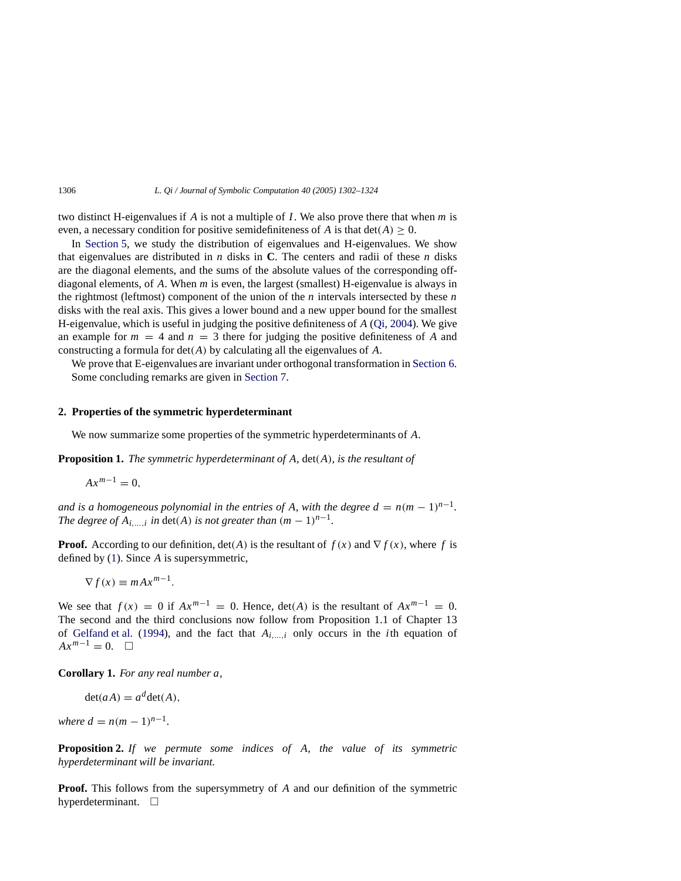two distinct H-eigenvalues if *A* is not a multiple of *I*. We also prove there that when *m* is even, a necessary condition for positive semidefiniteness of *A* is that  $det(A) \geq 0$ .

In [Section 5,](#page-14-0) we study the distribution of eigenvalues and H-eigenvalues. We show that eigenvalues are distributed in *n* disks in **C**. The centers and radii of these *n* disks are the diagonal elements, and the sums of the absolute values of the corresponding offdiagonal elements, of *A*. When *m* is even, the largest (smallest) H-eigenvalue is always in the rightmost (leftmost) component of the union of the *n* intervals intersected by these *n* disks with the real axis. This gives a lower bound and a new upper bound for the smallest H-eigenvalue, which is useful in judging the positive definiteness of *A* [\(Qi](#page-22-3), [2004\)](#page-22-3). We give an example for  $m = 4$  and  $n = 3$  there for judging the positive definiteness of A and constructing a formula for det(*A*) by calculating all the eigenvalues of *A*.

We prove that E-eigenvalues are invariant under orthogonal transformation in [Section 6.](#page-18-0) Some concluding remarks are given in [Section 7.](#page-21-1)

#### **2. Properties of the symmetric hyperdeterminant**

We now summarize some properties of the symmetric hyperdeterminants of *A*.

**Proposition 1.** *The symmetric hyperdeterminant of A,* det(*A*)*, is the resultant of*

<span id="page-4-1"></span>
$$
Ax^{m-1}=0,
$$

*and is a homogeneous polynomial in the entries of A, with the degree*  $d = n(m-1)^{n-1}$ *. The degree of A<sub>i</sub>, in det(A) is not greater than*  $(m - 1)^{n-1}$ .

**Proof.** According to our definition,  $det(A)$  is the resultant of  $f(x)$  and  $\nabla f(x)$ , where f is defined by [\(1\)](#page-1-0). Since *A* is supersymmetric,

$$
\nabla f(x) \equiv m A x^{m-1}.
$$

We see that  $f(x) = 0$  if  $Ax^{m-1} = 0$ . Hence,  $det(A)$  is the resultant of  $Ax^{m-1} = 0$ . The second and the third conclusions now follow from Proposition 1.1 of Chapter 13 of [Gelfand et al.](#page-22-2) [\(1994\)](#page-22-2), and the fact that *Ai*,...,*<sup>i</sup>* only occurs in the *i*th equation of  $Ax^{m-1} = 0.$   $\Box$ 

<span id="page-4-2"></span>**Corollary 1.** *For any real number a,*

$$
\det(aA) = a^d \det(A),
$$

*where*  $d = n(m - 1)^{n-1}$ .

<span id="page-4-0"></span>**Proposition 2.** *If we permute some indices of A, the value of its symmetric hyperdeterminant will be invariant.*

**Proof.** This follows from the supersymmetry of *A* and our definition of the symmetric hyperdeterminant.  $\square$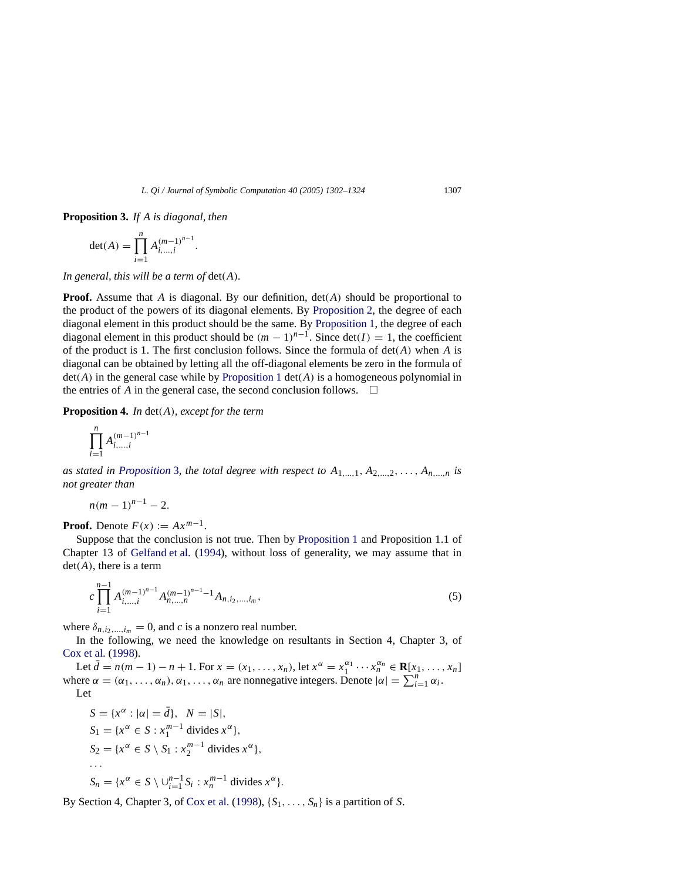<span id="page-5-1"></span>**Proposition 3.** *If A is diagonal, then*

$$
\det(A) = \prod_{i=1}^{n} A_{i,\dots,i}^{(m-1)^{n-1}}.
$$

*In general, this will be a term of* det(*A*)*.*

**Proof.** Assume that *A* is diagonal. By our definition, det(*A*) should be proportional to the product of the powers of its diagonal elements. By [Proposition 2,](#page-4-0) the degree of each diagonal element in this product should be the same. By [Proposition 1,](#page-4-1) the degree of each diagonal element in this product should be  $(m - 1)^{n-1}$ . Since  $det(I) = 1$ , the coefficient of the product is 1. The first conclusion follows. Since the formula of det(*A*) when *A* is diagonal can be obtained by letting all the off-diagonal elements be zero in the formula of  $det(A)$  in the general case while by [Proposition 1](#page-4-1)  $det(A)$  is a homogeneous polynomial in the entries of *A* in the general case, the second conclusion follows.  $\Box$ 

<span id="page-5-0"></span>**Proposition 4.** *In* det(*A*)*, except for the term*

$$
\prod_{i=1}^{n} A_{i,...,i}^{(m-1)^{n-1}}
$$

*as stated in [Proposition](#page-5-1)* [3](#page-5-1)*, the total degree with respect to*  $A_{1,\ldots,1}, A_{2,\ldots,2}, \ldots, A_{n,\ldots,n}$  *is not greater than*

$$
n(m-1)^{n-1}-2.
$$

**Proof.** Denote  $F(x) := Ax^{m-1}$ .

Suppose that the conclusion is not true. Then by [Proposition 1](#page-4-1) and Proposition 1.1 of Chapter 13 of [Gelfand et al.](#page-22-2) [\(1994\)](#page-22-2), without loss of generality, we may assume that in det(*A*), there is a term

<span id="page-5-2"></span>
$$
c\prod_{i=1}^{n-1} A^{(m-1)^{n-1}}_{i,\dots,i} A^{(m-1)^{n-1}-1}_{n,\dots,n} A_{n,i_2,\dots,i_m},\tag{5}
$$

where  $\delta_{n,i_2,...,i_m} = 0$ , and *c* is a nonzero real number.

In the following, we need the knowledge on resultants in Section 4, Chapter 3, of [Cox et al.](#page-22-14) [\(1998\)](#page-22-14).

Let  $\bar{d} = n(m-1) - n + 1$ . For  $x = (x_1, ..., x_n)$ , let  $x^{\alpha} = x_1^{\alpha_1} \cdots x_n^{\alpha_n} \in \mathbb{R}[x_1, ..., x_n]$ where  $\alpha = (\alpha_1, \ldots, \alpha_n), \alpha_1, \ldots, \alpha_n$  are nonnegative integers. Denote  $|\alpha| = \sum_{i=1}^n \alpha_i$ . Let

$$
S = \{x^{\alpha} : |\alpha| = \overline{d}\}, \ N = |S|,
$$
  
\n
$$
S_1 = \{x^{\alpha} \in S : x_1^{m-1} \text{ divides } x^{\alpha}\},
$$
  
\n
$$
S_2 = \{x^{\alpha} \in S \setminus S_1 : x_2^{m-1} \text{ divides } x^{\alpha}\},
$$
  
\n...  
\n
$$
S_n = \{x^{\alpha} \in S \setminus \bigcup_{i=1}^{n-1} S_i : x_n^{m-1} \text{ divides } x^{\alpha}\}.
$$

By Section 4, Chapter 3, of [Cox et al.](#page-22-14) [\(1998\)](#page-22-14),  $\{S_1, \ldots, S_n\}$  is a partition of *S*.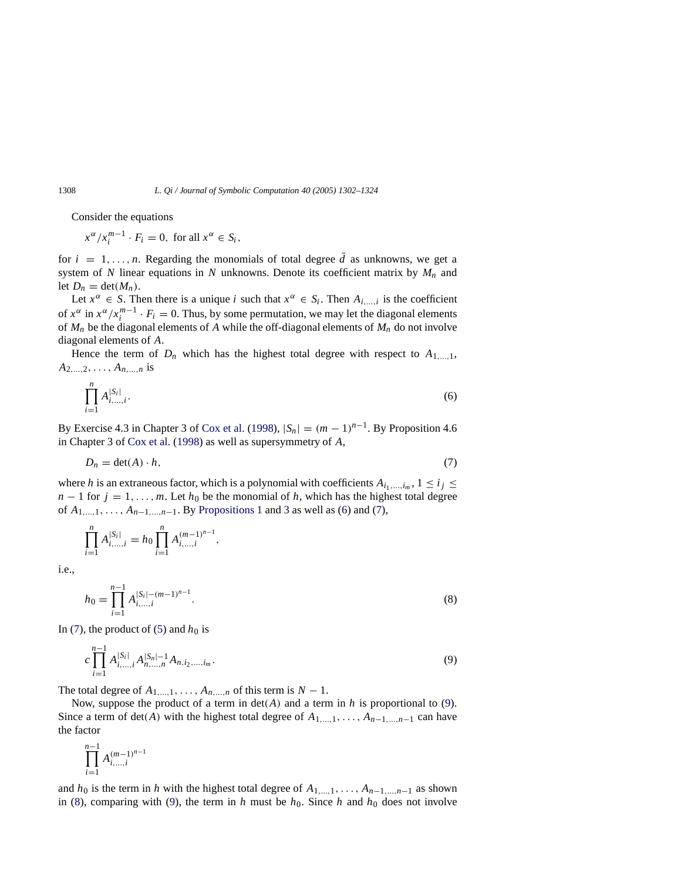Consider the equations

$$
x^{\alpha}/x_i^{m-1} \cdot F_i = 0, \text{ for all } x^{\alpha} \in S_i,
$$

for  $i = 1, \ldots, n$ . Regarding the monomials of total degree  $\overline{d}$  as unknowns, we get a system of *N* linear equations in *N* unknowns. Denote its coefficient matrix by  $M_n$  and let  $D_n = \det(M_n)$ .

Let  $x^{\alpha} \in S$ . Then there is a unique *i* such that  $x^{\alpha} \in S_i$ . Then  $A_{i,\dots,i}$  is the coefficient of  $x^{\alpha}$  in  $x^{\alpha}/x_i^{m-1} \cdot F_i = 0$ . Thus, by some permutation, we may let the diagonal elements of  $M_n$  be the diagonal elements of A while the off-diagonal elements of  $M_n$  do not involve diagonal elements of *A*.

<span id="page-6-0"></span>Hence the term of  $D_n$  which has the highest total degree with respect to  $A_{1,\,\dots,1}$ ,  $A_{2,...,2}, \ldots, A_{n,...,n}$  is

$$
\prod_{i=1}^{n} A_{i,\dots,i}^{|S_i|}.
$$
\n(6)

By Exercise 4.3 in Chapter 3 of [Cox et al.](#page-22-14) [\(1998\)](#page-22-14),  $|S_n| = (m-1)^{n-1}$ . By Proposition 4.6 in Chapter 3 of [Cox et al.](#page-22-14) [\(1998](#page-22-14)) as well as supersymmetry of *A*,

<span id="page-6-1"></span>
$$
D_n = \det(A) \cdot h,\tag{7}
$$

where *h* is an extraneous factor, which is a polynomial with coefficients  $A_{i_1,\dots,i_m}$ ,  $1 \leq i_j \leq j_j$  $n-1$  for  $j = 1, \ldots, m$ . Let  $h_0$  be the monomial of  $h$ , which has the highest total degree of  $A_{1,...,1},..., A_{n-1,...,n-1}$ . By [Propositions 1](#page-4-1) and [3](#page-5-1) as well as [\(6\)](#page-6-0) and [\(7\)](#page-6-1),

$$
\prod_{i=1}^{n} A_{i,\dots,i}^{|S_i|} = h_0 \prod_{i=1}^{n} A_{i,\dots,i}^{(m-1)^{n-1}},
$$

<span id="page-6-3"></span>i.e.,

$$
h_0 = \prod_{i=1}^{n-1} A_{i,\dots,i}^{|S_i| - (m-1)^{n-1}}.
$$
\n(8)

In [\(7\)](#page-6-1), the product of [\(5\)](#page-5-2) and  $h_0$  is

<span id="page-6-2"></span>
$$
c \prod_{i=1}^{n-1} A^{|S_i|}_{i,\dots,i} A^{|S_n|-1}_{n,\dots,n} A_{n,i_2,\dots,i_m}.
$$
\n<sup>(9)</sup>

The total degree of  $A_{1,\dots,1},\dots, A_{n,\dots,n}$  of this term is  $N-1$ .

Now, suppose the product of a term in det(*A*) and a term in *h* is proportional to [\(9\)](#page-6-2). Since a term of det(*A*) with the highest total degree of  $A_{1,...,1},..., A_{n-1,...,n-1}$  can have the factor

$$
\prod_{i=1}^{n-1} A^{(m-1)^{n-1}}_{i,\dots,i}
$$

and  $h_0$  is the term in *h* with the highest total degree of  $A_{1,\dots,1},\dots, A_{n-1,\dots,n-1}$  as shown in [\(8\)](#page-6-3), comparing with [\(9\)](#page-6-2), the term in *h* must be  $h_0$ . Since *h* and  $h_0$  does not involve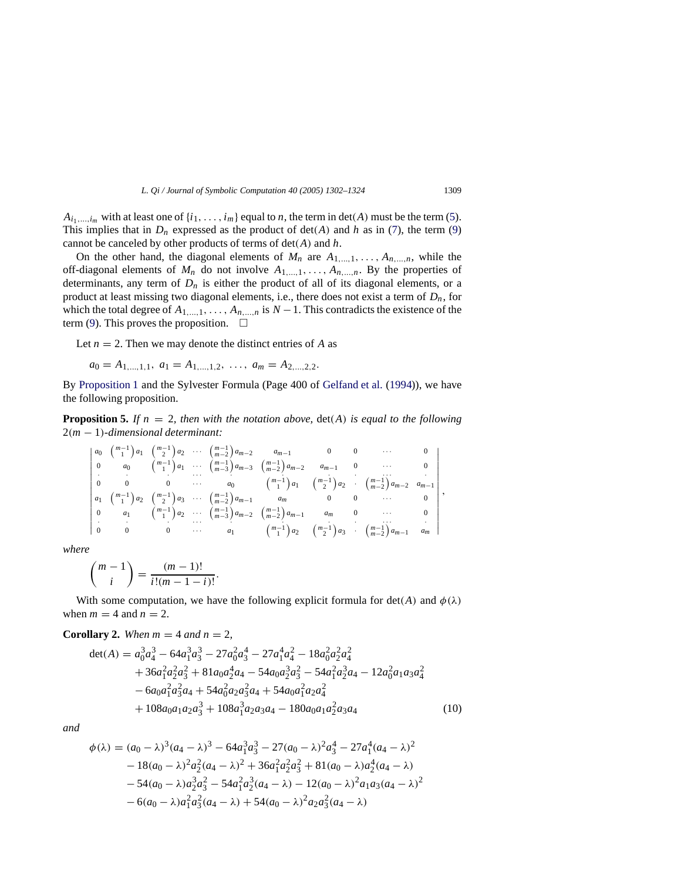$A_{i_1,\dots,i_m}$  with at least one of  $\{i_1,\dots,i_m\}$  equal to *n*, the term in det(*A*) must be the term [\(5\)](#page-5-2). This implies that in  $D_n$  expressed as the product of  $det(A)$  and h as in [\(7\)](#page-6-1), the term [\(9\)](#page-6-2) cannot be canceled by other products of terms of det(*A*) and *h*.

On the other hand, the diagonal elements of  $M_n$  are  $A_{1,\dots,1}, \dots, A_{n,\dots,n}$ , while the off-diagonal elements of  $M_n$  do not involve  $A_{1,\dots,1},\dots, A_{n,\dots,n}$ . By the properties of determinants, any term of  $D_n$  is either the product of all of its diagonal elements, or a product at least missing two diagonal elements, i.e., there does not exist a term of *Dn*, for which the total degree of  $A_{1,...,1}, \ldots, A_{n,...,n}$  is  $N-1$ . This contradicts the existence of the term [\(9\)](#page-6-2). This proves the proposition.  $\square$ 

Let  $n = 2$ . Then we may denote the distinct entries of *A* as

$$
a_0 = A_{1,\ldots,1,1}, \ a_1 = A_{1,\ldots,1,2}, \ \ldots, \ a_m = A_{2,\ldots,2,2}.
$$

By [Proposition 1](#page-4-1) and the Sylvester Formula (Page 400 of [Gelfand et al.](#page-22-2) [\(1994\)](#page-22-2)), we have the following proposition.

**Proposition 5.** If  $n = 2$ , then with the notation above,  $det(A)$  is equal to the following 2(*m* − 1)*-dimensional determinant:*

 *a*0 *m*−1 1 *a*1 *m*−1 2 *<sup>a</sup>*<sup>2</sup> ··· *<sup>m</sup>*−<sup>1</sup> *<sup>m</sup>*−<sup>2</sup> *am*−2 *am*−1 0 0 ··· 0 0 *a*0 *m*−1 1 *<sup>a</sup>*<sup>1</sup> ··· *<sup>m</sup>*−<sup>1</sup> *<sup>m</sup>*−<sup>3</sup> *am*−3 *<sup>m</sup>*−<sup>1</sup> *<sup>m</sup>*−<sup>2</sup> *am*−2 *am*−1 0 ··· 0 · · · ··· · · · · ··· · 00 0 ··· *a*0 *m*−1 1 *a*1 *m*−1 2 *a*2 · *<sup>m</sup>*−<sup>1</sup> *<sup>m</sup>*−<sup>2</sup> *am*−2 *am*−1 *a*1 *m*−1 1 *a*2 *m*−1 2 *<sup>a</sup>*<sup>3</sup> ··· *<sup>m</sup>*−<sup>1</sup> *<sup>m</sup>*−<sup>2</sup> *am*−1 *am* 0 0 ··· 0 0 *a*1 *m*−1 1 *<sup>a</sup>*<sup>2</sup> ··· *<sup>m</sup>*−<sup>1</sup> *<sup>m</sup>*−<sup>3</sup> *am*−2 *<sup>m</sup>*−<sup>1</sup> *<sup>m</sup>*−<sup>2</sup> *am*−1 *am* 0 ··· 0 · · · ··· · · · · ··· · 00 0 ··· *a*1 *m*−1 1 *a*2 *m*−1 2 *a*3 · *<sup>m</sup>*−<sup>1</sup> *<sup>m</sup>*−<sup>2</sup> *am*−1 *am* ,

*where*

$$
\binom{m-1}{i} = \frac{(m-1)!}{i!(m-1-i)!}.
$$

With some computation, we have the following explicit formula for  $det(A)$  and  $\phi(\lambda)$ when  $m = 4$  and  $n = 2$ .

**Corollary 2.** *When*  $m = 4$  *and*  $n = 2$ *,* 

<span id="page-7-0"></span>
$$
det(A) = a_0^3 a_4^3 - 64a_1^3 a_3^3 - 27a_0^2 a_3^4 - 27a_1^4 a_4^2 - 18a_0^2 a_2^2 a_4^2
$$
  
+ 36a\_1^2 a\_2^2 a\_3^2 + 81a\_0 a\_2^4 a\_4 - 54a\_0 a\_2^3 a\_3^2 - 54a\_1^2 a\_2^3 a\_4 - 12a\_0^2 a\_1 a\_3 a\_4^2  
- 6a\_0 a\_1^2 a\_3^2 a\_4 + 54a\_0^2 a\_2 a\_3^2 a\_4 + 54a\_0 a\_1^2 a\_2 a\_4^2  
+ 108a\_0 a\_1 a\_2 a\_3^3 + 108a\_1^3 a\_2 a\_3 a\_4 - 180a\_0 a\_1 a\_2^2 a\_3 a\_4 (10)

<span id="page-7-1"></span>*and*

$$
\phi(\lambda) = (a_0 - \lambda)^3 (a_4 - \lambda)^3 - 64a_1^3 a_3^3 - 27(a_0 - \lambda)^2 a_3^4 - 27a_1^4 (a_4 - \lambda)^2 \n- 18(a_0 - \lambda)^2 a_2^2 (a_4 - \lambda)^2 + 36a_1^2 a_2^2 a_3^2 + 81(a_0 - \lambda) a_2^4 (a_4 - \lambda) \n- 54(a_0 - \lambda) a_2^3 a_3^2 - 54a_1^2 a_2^3 (a_4 - \lambda) - 12(a_0 - \lambda)^2 a_1 a_3 (a_4 - \lambda)^2 \n- 6(a_0 - \lambda) a_1^2 a_3^2 (a_4 - \lambda) + 54(a_0 - \lambda)^2 a_2 a_3^2 (a_4 - \lambda)
$$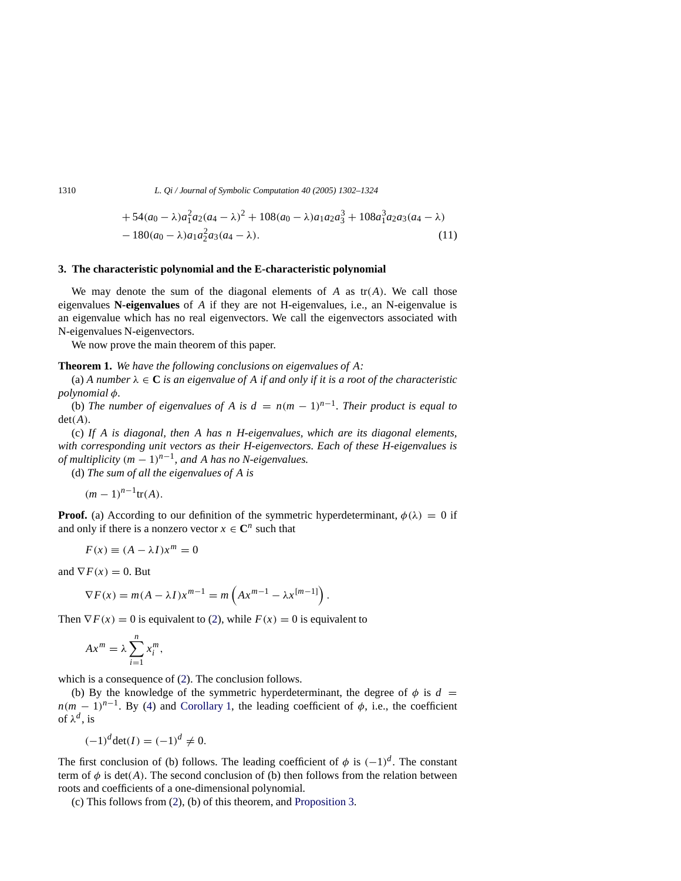1310 *L. Qi / Journal of Symbolic Computation 40 (2005) 1302–1324*

+54(
$$
a_0 - \lambda
$$
) $a_1^2 a_2 (a_4 - \lambda)^2$  + 108( $a_0 - \lambda$ ) $a_1 a_2 a_3^3$  + 108 $a_1^3 a_2 a_3 (a_4 - \lambda)$   
- 180( $a_0 - \lambda$ ) $a_1 a_2^2 a_3 (a_4 - \lambda)$ . (11)

## <span id="page-8-0"></span>**3. The characteristic polynomial and the E-characteristic polynomial**

We may denote the sum of the diagonal elements of  $A$  as  $tr(A)$ . We call those eigenvalues **N-eigenvalues** of *A* if they are not H-eigenvalues, i.e., an N-eigenvalue is an eigenvalue which has no real eigenvectors. We call the eigenvectors associated with N-eigenvalues N-eigenvectors.

We now prove the main theorem of this paper.

<span id="page-8-1"></span>**Theorem 1.** *We have the following conclusions on eigenvalues of A:*

(a) A number  $\lambda \in \mathbb{C}$  *is an eigenvalue of A if and only if it is a root of the characteristic polynomial* φ*.*

(b) The number of eigenvalues of A is  $d = n(m-1)^{n-1}$ . Their product is equal to det(*A*)*.*

(c) *If A is diagonal, then A has n H-eigenvalues, which are its diagonal elements, with corresponding unit vectors as their H-eigenvectors. Each of these H-eigenvalues is of multiplicity*  $(m - 1)^{n-1}$ *, and A has no N-eigenvalues.* 

(d) *The sum of all the eigenvalues of A is*

$$
(m-1)^{n-1}\text{tr}(A).
$$

**Proof.** (a) According to our definition of the symmetric hyperdeterminant,  $\phi(\lambda) = 0$  if and only if there is a nonzero vector  $x \in \mathbb{C}^n$  such that

$$
F(x) \equiv (A - \lambda I)x^m = 0
$$

and  $\nabla F(x) = 0$ . But

$$
\nabla F(x) = m(A - \lambda I)x^{m-1} = m\left(Ax^{m-1} - \lambda x^{[m-1]}\right).
$$

Then  $\nabla F(x) = 0$  is equivalent to [\(2\)](#page-2-0), while  $F(x) = 0$  is equivalent to

$$
Ax^m = \lambda \sum_{i=1}^n x_i^m,
$$

which is a consequence of [\(2\)](#page-2-0). The conclusion follows.

(b) By the knowledge of the symmetric hyperdeterminant, the degree of  $\phi$  is  $d =$  $n(m-1)^{n-1}$ . By [\(4\)](#page-2-2) and [Corollary 1,](#page-4-2) the leading coefficient of  $\phi$ , i.e., the coefficient of  $\lambda^d$ , is

$$
(-1)^d \det(I) = (-1)^d \neq 0.
$$

The first conclusion of (b) follows. The leading coefficient of  $\phi$  is  $(-1)^d$ . The constant term of  $\phi$  is det(*A*). The second conclusion of (b) then follows from the relation between roots and coefficients of a one-dimensional polynomial.

(c) This follows from [\(2\)](#page-2-0), (b) of this theorem, and [Proposition 3.](#page-5-1)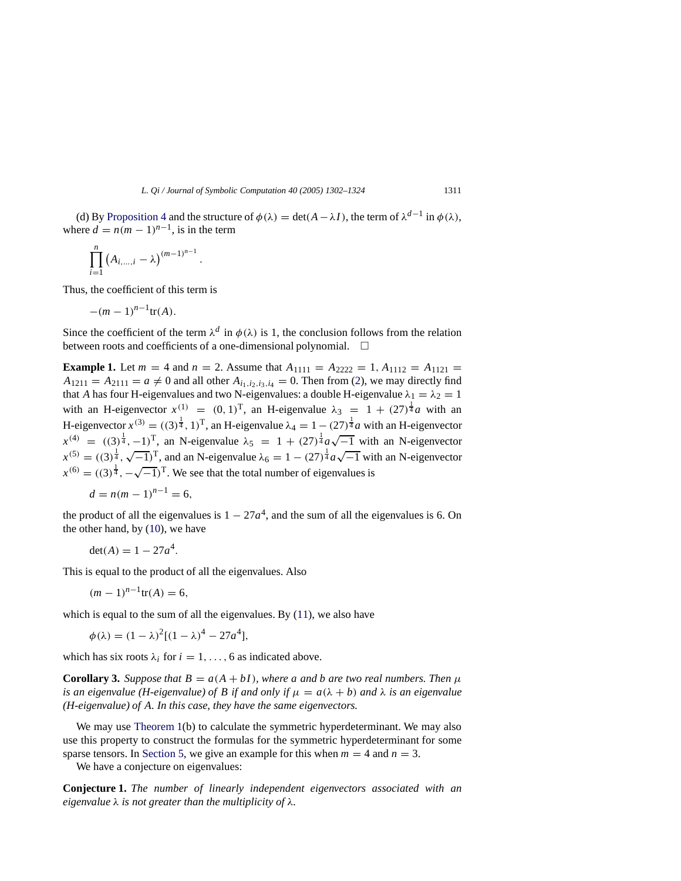(d) By [Proposition 4](#page-5-0) and the structure of  $\phi(\lambda) = \det(A - \lambda I)$ , the term of  $\lambda^{d-1}$  in  $\phi(\lambda)$ , where  $d = n(m - 1)^{n-1}$ , is in the term

$$
\prod_{i=1}^n (A_{i,...,i} - \lambda)^{(m-1)^{n-1}}.
$$

Thus, the coefficient of this term is

$$
-(m-1)^{n-1}\text{tr}(A).
$$

Since the coefficient of the term  $\lambda^d$  in  $\phi(\lambda)$  is 1, the conclusion follows from the relation between roots and coefficients of a one-dimensional polynomial.

**Example 1.** Let  $m = 4$  and  $n = 2$ . Assume that  $A_{1111} = A_{2222} = 1, A_{1112} = A_{1121} =$  $A_{1211} = A_{2111} = a \neq 0$  and all other  $A_{i_1,i_2,i_3,i_4} = 0$ . Then from [\(2\)](#page-2-0), we may directly find that *A* has four H-eigenvalues and two N-eigenvalues: a double H-eigenvalue  $\lambda_1 = \lambda_2 = 1$ with an H-eigenvector  $x^{(1)} = (0, 1)^T$ , an H-eigenvalue  $\lambda_3 = 1 + (27)^{\frac{1}{4}} a$  with an H-eigenvector  $x^{(3)} = ((3)^{\frac{1}{4}}, 1)^{\mathrm{T}}$ , an H-eigenvalue  $\lambda_4 = 1 - (27)^{\frac{1}{4}}a$  with an H-eigenvector  $x^{(4)} = ((3)^{\frac{1}{4}}, -1)^{\text{T}}$ , an N-eigenvalue  $\lambda_5 = 1 + (27)^{\frac{1}{4}} a \sqrt{-1}$  with an N-eigenvector  $x^{(5)} = ((3)^{\frac{1}{4}}, \sqrt{-1})^{\text{T}}$ , and an N-eigenvalue  $\lambda_6 = 1 - (27)^{\frac{1}{4}} a \sqrt{-1}$  with an N-eigenvector  $x^{(6)} = ((3)^{\frac{1}{4}}, -\sqrt{-1})^{\text{T}}$ . We see that the total number of eigenvalues is

$$
d = n(m-1)^{n-1} = 6,
$$

the product of all the eigenvalues is  $1 - 27a^4$ , and the sum of all the eigenvalues is 6. On the other hand, by [\(10\)](#page-7-0), we have

$$
\det(A) = 1 - 27a^4.
$$

This is equal to the product of all the eigenvalues. Also

$$
(m-1)^{n-1}\text{tr}(A)=6,
$$

which is equal to the sum of all the eigenvalues. By  $(11)$ , we also have

$$
\phi(\lambda) = (1 - \lambda)^2 [(1 - \lambda)^4 - 27a^4],
$$

which has six roots  $\lambda_i$  for  $i = 1, \ldots, 6$  as indicated above.

**Corollary 3.** *Suppose that*  $B = a(A + bI)$ *, where a and b are two real numbers. Then*  $\mu$ *is an eigenvalue (H-eigenvalue) of B if and only if*  $\mu = a(\lambda + b)$  *and*  $\lambda$  *is an eigenvalue (H-eigenvalue) of A. In this case, they have the same eigenvectors.*

We may use [Theorem 1\(](#page-8-1)b) to calculate the symmetric hyperdeterminant. We may also use this property to construct the formulas for the symmetric hyperdeterminant for some sparse tensors. In [Section 5,](#page-14-0) we give an example for this when  $m = 4$  and  $n = 3$ .

We have a conjecture on eigenvalues:

**Conjecture 1.** *The number of linearly independent eigenvectors associated with an eigenvalue* λ *is not greater than the multiplicity of* λ*.*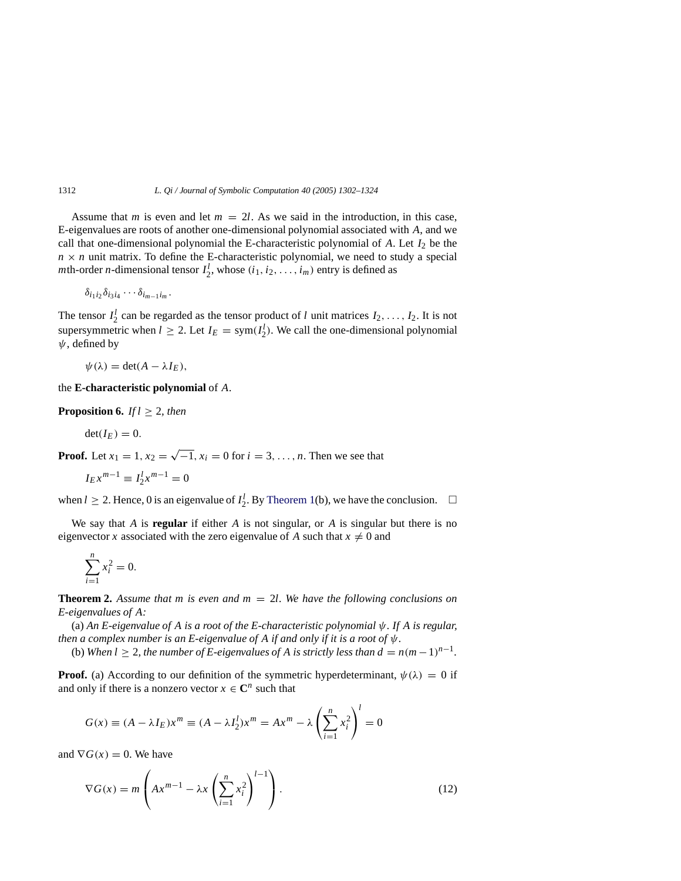Assume that *m* is even and let  $m = 2l$ . As we said in the introduction, in this case, E-eigenvalues are roots of another one-dimensional polynomial associated with *A*, and we call that one-dimensional polynomial the E-characteristic polynomial of  $A$ . Let  $I_2$  be the  $n \times n$  unit matrix. To define the E-characteristic polynomial, we need to study a special *m*th-order *n*-dimensional tensor  $I_2^l$ , whose  $(i_1, i_2, \ldots, i_m)$  entry is defined as

$$
\delta_{i_1i_2}\delta_{i_3i_4}\cdots\delta_{i_{m-1}i_m}.
$$

The tensor  $I_2^l$  can be regarded as the tensor product of *l* unit matrices  $I_2, \ldots, I_2$ . It is not supersymmetric when  $l \geq 2$ . Let  $I_E = \text{sym}(I_2^l)$ . We call the one-dimensional polynomial  $\psi$ , defined by

$$
\psi(\lambda) = \det(A - \lambda I_E),
$$

<span id="page-10-1"></span>the **E-characteristic polynomial** of *A*.

**Proposition 6.** *If*  $l \geq 2$ *, then* 

$$
\det(I_E)=0.
$$

**Proof.** Let  $x_1 = 1, x_2 = \sqrt{-1}, x_i = 0$  for  $i = 3, ..., n$ . Then we see that

$$
I_E x^{m-1} \equiv I_2^l x^{m-1} = 0
$$

when  $l \ge 2$ . Hence, 0 is an eigenvalue of  $I_2^l$ . By [Theorem 1\(](#page-8-1)b), we have the conclusion.  $\Box$ 

We say that *A* is **regular** if either *A* is not singular, or *A* is singular but there is no eigenvector *x* associated with the zero eigenvalue of A such that  $x \neq 0$  and

$$
\sum_{i=1}^n x_i^2 = 0.
$$

<span id="page-10-2"></span>**Theorem 2.** *Assume that m is even and m* = 2*l. We have the following conclusions on E-eigenvalues of A:*

(a) *An E-eigenvalue of A is a root of the E-characteristic polynomial* ψ*. If A is regular, then a complex number is an E-eigenvalue of A if and only if it is a root of*  $\psi$ .

(b) *When*  $l \geq 2$ , the number of E-eigenvalues of A is strictly less than  $d = n(m-1)^{n-1}$ .

**Proof.** (a) According to our definition of the symmetric hyperdeterminant,  $\psi(\lambda) = 0$  if and only if there is a nonzero vector  $x \in \mathbb{C}^n$  such that

$$
G(x) \equiv (A - \lambda I_E)x^m \equiv (A - \lambda I_2^l)x^m = Ax^m - \lambda \left(\sum_{i=1}^n x_i^2\right)^l = 0
$$

and  $\nabla G(x) = 0$ . We have

<span id="page-10-0"></span>
$$
\nabla G(x) = m \left( Ax^{m-1} - \lambda x \left( \sum_{i=1}^{n} x_i^2 \right)^{l-1} \right). \tag{12}
$$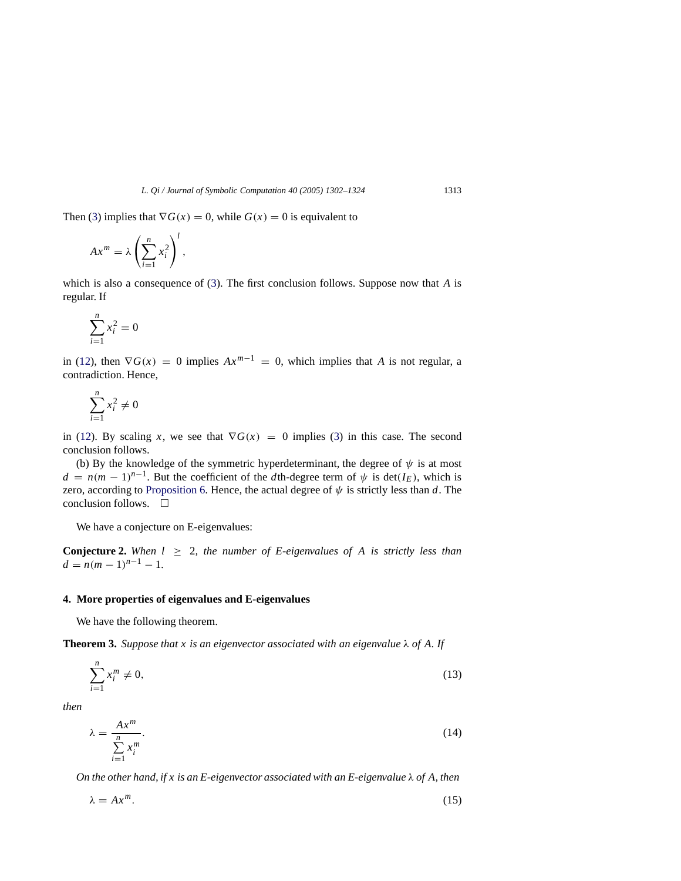Then [\(3\)](#page-2-1) implies that  $\nabla G(x) = 0$ , while  $G(x) = 0$  is equivalent to

$$
Ax^m = \lambda \left(\sum_{i=1}^n x_i^2\right)^l,
$$

which is also a consequence of [\(3\)](#page-2-1). The first conclusion follows. Suppose now that *A* is regular. If

$$
\sum_{i=1}^{n} x_i^2 = 0
$$

in [\(12\)](#page-10-0), then  $\nabla G(x) = 0$  implies  $Ax^{m-1} = 0$ , which implies that *A* is not regular, a contradiction. Hence,

$$
\sum_{i=1}^{n} x_i^2 \neq 0
$$

in [\(12\)](#page-10-0). By scaling *x*, we see that  $\nabla G(x) = 0$  implies [\(3\)](#page-2-1) in this case. The second conclusion follows.

(b) By the knowledge of the symmetric hyperdeterminant, the degree of  $\psi$  is at most  $d = n(m-1)^{n-1}$ . But the coefficient of the *d*th-degree term of  $\psi$  is det(*I<sub>E</sub>*), which is zero, according to [Proposition 6.](#page-10-1) Hence, the actual degree of  $\psi$  is strictly less than *d*. The conclusion follows  $\Box$ 

We have a conjecture on E-eigenvalues:

**Conjecture 2.** When  $l \geq 2$ , the number of E-eigenvalues of A is strictly less than  $d = n(m-1)^{n-1} - 1.$ 

## <span id="page-11-0"></span>**4. More properties of eigenvalues and E-eigenvalues**

We have the following theorem.

**Theorem 3.** *Suppose that x is an eigenvector associated with an eigenvalue*  $\lambda$  *of A. If* 

<span id="page-11-1"></span>
$$
\sum_{i=1}^{n} x_i^m \neq 0,\tag{13}
$$

<span id="page-11-2"></span>*then*

$$
\lambda = \frac{Ax^m}{\sum_{i=1}^n x_i^m}.\tag{14}
$$

*On the other hand, if x is an E-eigenvector associated with an E-eigenvalue* λ *of A, then*

<span id="page-11-3"></span>
$$
\lambda = Ax^m. \tag{15}
$$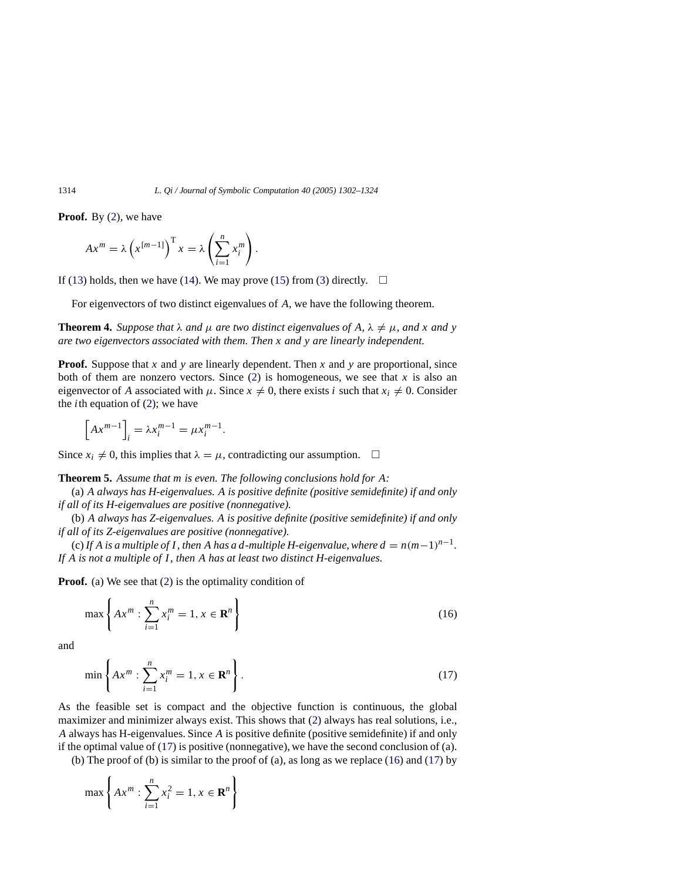**Proof.** By [\(2\)](#page-2-0), we have

$$
Ax^{m} = \lambda \left( x^{[m-1]} \right)^{T} x = \lambda \left( \sum_{i=1}^{n} x_{i}^{m} \right).
$$

If [\(13\)](#page-11-1) holds, then we have [\(14\)](#page-11-2). We may prove [\(15\)](#page-11-3) from [\(3\)](#page-2-1) directly.  $\Box$ 

For eigenvectors of two distinct eigenvalues of *A*, we have the following theorem.

**Theorem 4.** *Suppose that*  $\lambda$  *and*  $\mu$  *are two distinct eigenvalues of* A,  $\lambda \neq \mu$ *, and x and y are two eigenvectors associated with them. Then x and y are linearly independent.*

**Proof.** Suppose that *x* and *y* are linearly dependent. Then *x* and *y* are proportional, since both of them are nonzero vectors. Since  $(2)$  is homogeneous, we see that *x* is also an eigenvector of *A* associated with  $\mu$ . Since  $x \neq 0$ , there exists *i* such that  $x_i \neq 0$ . Consider the *i*th equation of  $(2)$ ; we have

$$
\[Ax^{m-1}\]_i = \lambda x_i^{m-1} = \mu x_i^{m-1}.
$$

<span id="page-12-2"></span>Since  $x_i \neq 0$ , this implies that  $\lambda = \mu$ , contradicting our assumption.  $\square$ 

**Theorem 5.** *Assume that m is even. The following conclusions hold for A:*

(a) *A always has H-eigenvalues. A is positive definite (positive semidefinite) if and only if all of its H-eigenvalues are positive (nonnegative).*

(b) *A always has Z-eigenvalues. A is positive definite (positive semidefinite) if and only if all of its Z-eigenvalues are positive (nonnegative).*

(c) If *A* is a multiple of *I*, then *A* has a *d*-multiple *H*-eigenvalue, where  $d = n(m-1)^{n-1}$ . If *A* is not *a* multiple of *I*, then *A* has at least two distinct *H*-eigenvalues.

**Proof.** (a) We see that [\(2\)](#page-2-0) is the optimality condition of

<span id="page-12-1"></span>
$$
\max\left\{Ax^{m} : \sum_{i=1}^{n} x_{i}^{m} = 1, x \in \mathbf{R}^{n}\right\}
$$
\n(16)

<span id="page-12-0"></span>and

$$
\min\left\{Ax^{m} : \sum_{i=1}^{n} x_{i}^{m} = 1, x \in \mathbf{R}^{n}\right\}.
$$
\n(17)

As the feasible set is compact and the objective function is continuous, the global maximizer and minimizer always exist. This shows that [\(2\)](#page-2-0) always has real solutions, i.e., *A* always has H-eigenvalues. Since *A* is positive definite (positive semidefinite) if and only if the optimal value of  $(17)$  is positive (nonnegative), we have the second conclusion of (a).

(b) The proof of (b) is similar to the proof of (a), as long as we replace [\(16\)](#page-12-1) and [\(17\)](#page-12-0) by

$$
\max\left\{Ax^m:\sum_{i=1}^nx_i^2=1, x\in\mathbf{R}^n\right\}
$$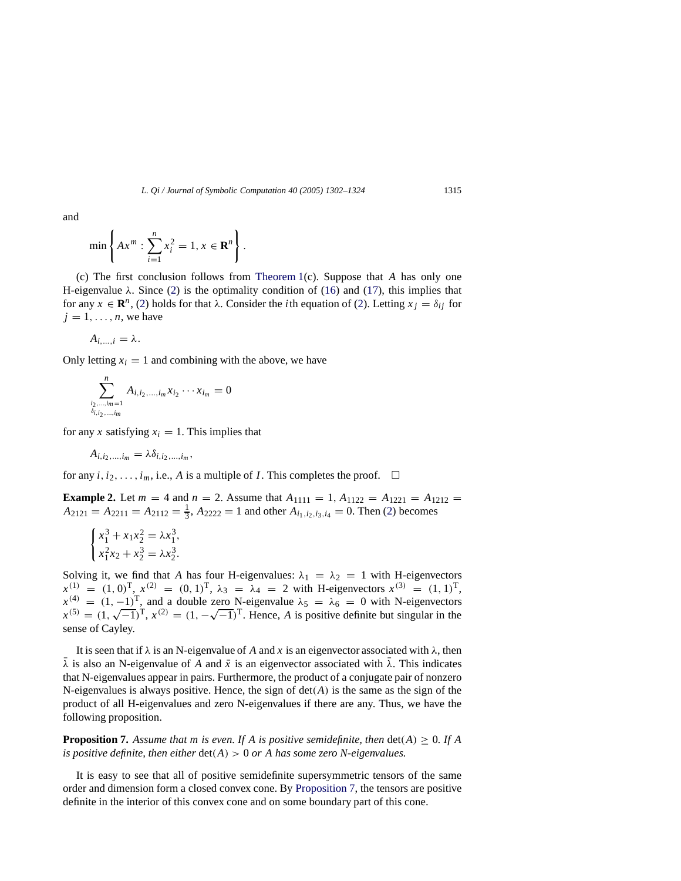and

$$
\min\left\{Ax^m:\sum_{i=1}^nx_i^2=1, x\in\mathbf{R}^n\right\}.
$$

(c) The first conclusion follows from [Theorem 1\(](#page-8-1)c). Suppose that *A* has only one H-eigenvalue  $\lambda$ . Since [\(2\)](#page-2-0) is the optimality condition of [\(16\)](#page-12-1) and [\(17\)](#page-12-0), this implies that for any  $x \in \mathbb{R}^n$ , [\(2\)](#page-2-0) holds for that  $\lambda$ . Consider the *i*th equation of (2). Letting  $x_i = \delta_{ij}$  for  $j = 1, \ldots, n$ , we have

$$
A_{i,\ldots,i}=\lambda.
$$

Only letting  $x_i = 1$  and combining with the above, we have

$$
\sum_{\substack{i_2,\dots,i_m=1\\ \delta_{i,i_2,\dots,i_m}}}^n A_{i,i_2,\dots,i_m} x_{i_2} \cdots x_{i_m} = 0
$$

for any *x* satisfying  $x_i = 1$ . This implies that

$$
A_{i,i_2,\ldots,i_m}=\lambda\delta_{i,i_2,\ldots,i_m},
$$

for any  $i, i_2, \ldots, i_m$ , i.e., A is a multiple of *I*. This completes the proof.  $\Box$ 

**Example 2.** Let  $m = 4$  and  $n = 2$ . Assume that  $A_{1111} = 1$ ,  $A_{1122} = A_{1211} = A_{1212} = A_{1212}$  $A_{2121} = A_{2211} = A_{2112} = \frac{1}{3}$ ,  $A_{2222} = 1$  and other  $A_{i_1,i_2,i_3,i_4} = 0$ . Then [\(2\)](#page-2-0) becomes

$$
\begin{cases} x_1^3 + x_1 x_2^2 = \lambda x_1^3, \\ x_1^2 x_2 + x_2^3 = \lambda x_2^3. \end{cases}
$$

Solving it, we find that *A* has four H-eigenvalues:  $\lambda_1 = \lambda_2 = 1$  with H-eigenvectors  $x^{(1)} = (1, 0)^{T}$ ,  $x^{(2)} = (0, 1)^{T}$ ,  $\lambda_3 = \lambda_4 = 2$  with H-eigenvectors  $x^{(3)} = (1, 1)^{T}$ ,  $x^{(4)} = (1, -1)^T$ , and a double zero N-eigenvalue  $\lambda_5 = \lambda_6 = 0$  with N-eigenvectors  $x^{(3)} = (1, -1)^3$ , and a double zero N-eigenvalue  $\lambda_5 = \lambda_6 = 0$  with N-eigenvectors  $x^{(5)} = (1, \sqrt{-1})^T$ ,  $x^{(2)} = (1, -\sqrt{-1})^T$ . Hence, *A* is positive definite but singular in the sense of Cayley.

It is seen that if  $\lambda$  is an N-eigenvalue of A and x is an eigenvector associated with  $\lambda$ , then  $\lambda$  is also an N-eigenvalue of *A* and  $\bar{x}$  is an eigenvector associated with  $\bar{\lambda}$ . This indicates that N-eigenvalues appear in pairs. Furthermore, the product of a conjugate pair of nonzero N-eigenvalues is always positive. Hence, the sign of  $det(A)$  is the same as the sign of the product of all H-eigenvalues and zero N-eigenvalues if there are any. Thus, we have the following proposition.

<span id="page-13-0"></span>**Proposition 7.** Assume that m is even. If A is positive semidefinite, then  $det(A) \geq 0$ . If A *is positive definite, then either* det(*A*) > 0 *or A has some zero N-eigenvalues.*

It is easy to see that all of positive semidefinite supersymmetric tensors of the same order and dimension form a closed convex cone. By [Proposition 7,](#page-13-0) the tensors are positive definite in the interior of this convex cone and on some boundary part of this cone.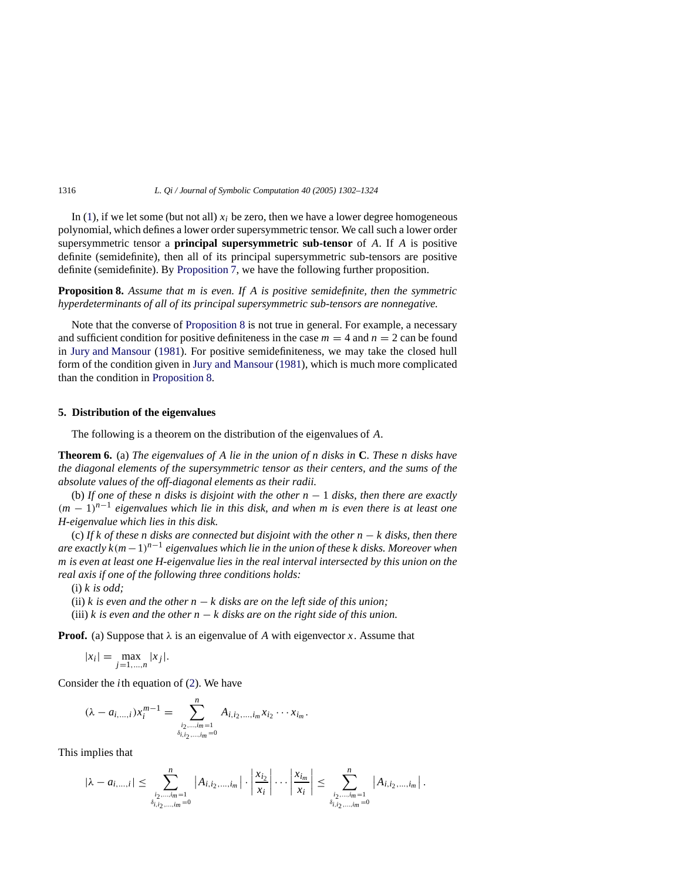In  $(1)$ , if we let some (but not all)  $x_i$  be zero, then we have a lower degree homogeneous polynomial, which defines a lower order supersymmetric tensor. We call such a lower order supersymmetric tensor a **principal supersymmetric sub-tensor** of *A*. If *A* is positive definite (semidefinite), then all of its principal supersymmetric sub-tensors are positive definite (semidefinite). By [Proposition 7,](#page-13-0) we have the following further proposition.

<span id="page-14-1"></span>**Proposition 8.** *Assume that m is even. If A is positive semidefinite, then the symmetric hyperdeterminants of all of its principal supersymmetric sub-tensors are nonnegative.*

Note that the converse of [Proposition 8](#page-14-1) is not true in general. For example, a necessary and sufficient condition for positive definiteness in the case  $m = 4$  and  $n = 2$  can be found in [Jury and Mansour](#page-22-10) [\(1981\)](#page-22-10). For positive semidefiniteness, we may take the closed hull form of the condition given in [Jury and Mansour](#page-22-10) [\(1981](#page-22-10)), which is much more complicated than the condition in [Proposition 8.](#page-14-1)

# <span id="page-14-0"></span>**5. Distribution of the eigenvalues**

The following is a theorem on the distribution of the eigenvalues of *A*.

<span id="page-14-2"></span>**Theorem 6.** (a) *The eigenvalues of A lie in the union of n disks in* **C***. These n disks have the diagonal elements of the supersymmetric tensor as their centers, and the sums of the absolute values of the off-diagonal elements as their radii.*

(b) *If one of these n disks is disjoint with the other n* − 1 *disks, then there are exactly*  $(m-1)^{n-1}$  eigenvalues which lie in this disk, and when m is even there is at least one *H-eigenvalue which lies in this disk.*

(c) *If k of these n disks are connected but disjoint with the other n* − *k disks, then there are exactly k*(*m* −1)*n*−<sup>1</sup> *eigenvalues which lie in the union of these k disks. Moreover when m is even at least one H-eigenvalue lies in the real interval intersected by this union on the real axis if one of the following three conditions holds:*

(i) *k is odd;*

(ii)  $k$  is even and the other  $n - k$  disks are on the left side of this union;

(iii) *k* is even and the other  $n - k$  disks are on the right side of this union.

**Proof.** (a) Suppose that  $\lambda$  is an eigenvalue of A with eigenvector x. Assume that

$$
|x_i| = \max_{j=1,\dots,n} |x_j|.
$$

Consider the *i*th equation of [\(2\)](#page-2-0). We have

$$
(\lambda - a_{i, ..., i})x_i^{m-1} = \sum_{\substack{i_2, ..., i_m = 1 \\ \delta_{i, i_2, ..., i_m} = 0}}^n A_{i, i_2, ..., i_m} x_{i_2} \cdots x_{i_m}.
$$

This implies that

$$
|\lambda - a_{i,...,i}| \leq \sum_{\substack{i_2,...,i_m=1 \ \delta_{i,i_2,...,i_m}=0}}^n |A_{i,i_2,...,i_m}| \cdot \left| \frac{x_{i_2}}{x_i} \right| \cdots \left| \frac{x_{i_m}}{x_i} \right| \leq \sum_{\substack{i_2,...,i_m=1 \ \delta_{i,i_2,...,i_m}=0}}^n |A_{i,i_2,...,i_m}|.
$$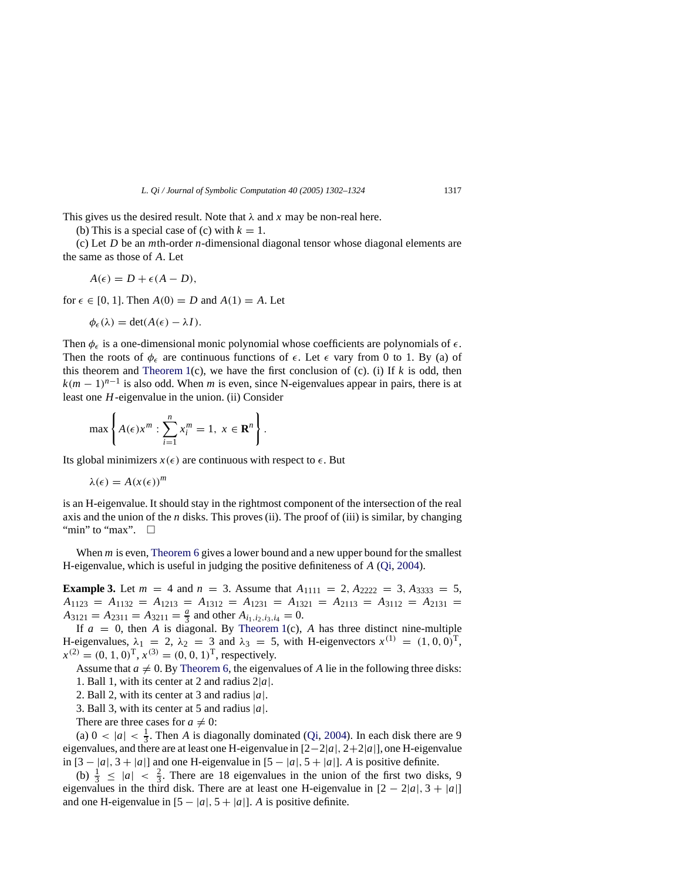This gives us the desired result. Note that  $\lambda$  and  $x$  may be non-real here.

(b) This is a special case of (c) with  $k = 1$ .

(c) Let *D* be an *m*th-order *n*-dimensional diagonal tensor whose diagonal elements are the same as those of *A*. Let

$$
A(\epsilon) = D + \epsilon (A - D),
$$

for  $\epsilon \in [0, 1]$ . Then  $A(0) = D$  and  $A(1) = A$ . Let

$$
\phi_{\epsilon}(\lambda) = \det(A(\epsilon) - \lambda I).
$$

Then  $\phi_{\epsilon}$  is a one-dimensional monic polynomial whose coefficients are polynomials of  $\epsilon$ . Then the roots of  $\phi_{\epsilon}$  are continuous functions of  $\epsilon$ . Let  $\epsilon$  vary from 0 to 1. By (a) of this theorem and [Theorem 1\(](#page-8-1)c), we have the first conclusion of (c). (i) If  $k$  is odd, then  $k(m-1)^{n-1}$  is also odd. When *m* is even, since N-eigenvalues appear in pairs, there is at least one *H*-eigenvalue in the union. (ii) Consider

$$
\max\left\{A(\epsilon)x^m:\sum_{i=1}^n x_i^m=1,\ x\in\mathbf{R}^n\right\}.
$$

Its global minimizers  $x(\epsilon)$  are continuous with respect to  $\epsilon$ . But

$$
\lambda(\epsilon) = A(x(\epsilon))^m
$$

is an H-eigenvalue. It should stay in the rightmost component of the intersection of the real axis and the union of the *n* disks. This proves (ii). The proof of (iii) is similar, by changing "min" to "max".  $\Box$ 

When *m* is even, [Theorem 6](#page-14-2) gives a lower bound and a new upper bound for the smallest H-eigenvalue, which is useful in judging the positive definiteness of *A* [\(Qi](#page-22-3), [2004](#page-22-3)).

**Example 3.** Let  $m = 4$  and  $n = 3$ . Assume that  $A_{1111} = 2$ ,  $A_{2222} = 3$ ,  $A_{3333} = 5$ ,  $A_{1123} = A_{1132} = A_{1213} = A_{1312} = A_{1231} = A_{1321} = A_{2113} = A_{3112} = A_{2131} =$  $A_{3121} = A_{2311} = A_{3211} = \frac{a}{3}$  and other  $A_{i_1, i_2, i_3, i_4} = 0$ .

If  $a = 0$ , then *A* is diagonal. By [Theorem 1\(](#page-8-1)c), *A* has three distinct nine-multiple H-eigenvalues,  $\lambda_1 = 2$ ,  $\lambda_2 = 3$  and  $\lambda_3 = 5$ , with H-eigenvectors  $x^{(1)} = (1, 0, 0)^T$ ,  $x^{(2)} = (0, 1, 0)^{\text{T}}, x^{(3)} = (0, 0, 1)^{\text{T}}$ , respectively.

Assume that  $a \neq 0$ . By [Theorem 6,](#page-14-2) the eigenvalues of A lie in the following three disks:

1. Ball 1, with its center at 2 and radius 2|*a*|.

2. Ball 2, with its center at 3 and radius  $|a|$ .

3. Ball 3, with its center at 5 and radius |*a*|.

There are three cases for  $a \neq 0$ :

(a)  $0 < |a| < \frac{1}{3}$ . Then *A* is diagonally dominated [\(Qi](#page-22-3), [2004\)](#page-22-3). In each disk there are 9 eigenvalues, and there are at least one H-eigenvalue in [2−2|*a*|, 2+2|*a*|], one H-eigenvalue in  $[3 - |a|, 3 + |a|]$  and one H-eigenvalue in  $[5 - |a|, 5 + |a|]$ . *A* is positive definite.

(b)  $\frac{1}{3} \le |a| < \frac{2}{3}$ . There are 18 eigenvalues in the union of the first two disks, 9 eigenvalues in the third disk. There are at least one H-eigenvalue in  $[2 - 2|a|, 3 + |a|]$ and one H-eigenvalue in  $[5 - |a|, 5 + |a|]$ . *A* is positive definite.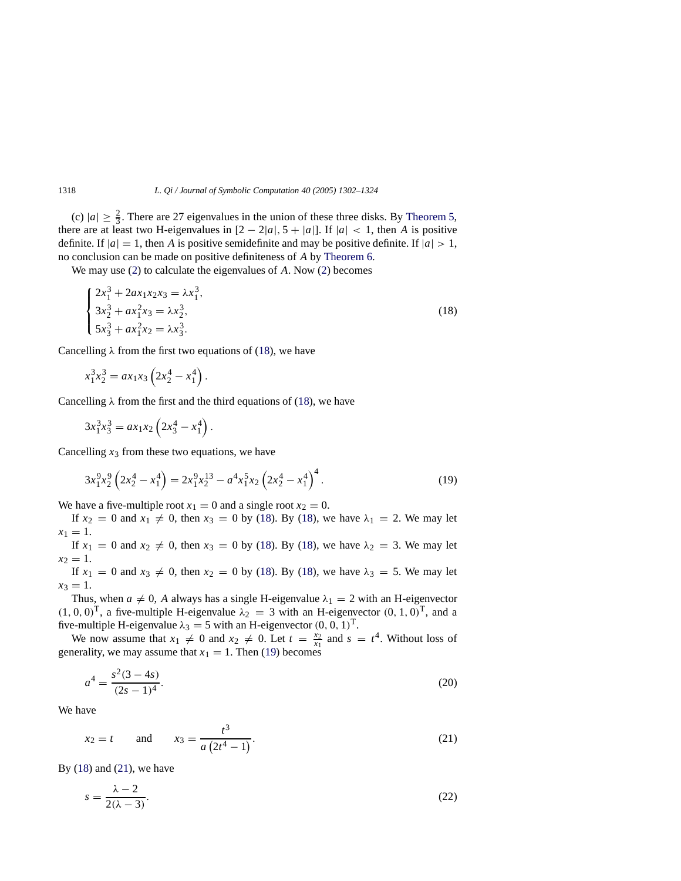(c)  $|a| \ge \frac{2}{3}$ . There are 27 eigenvalues in the union of these three disks. By [Theorem 5,](#page-12-2) there are at least two H-eigenvalues in  $[2 - 2|a|, 5 + |a|]$ . If  $|a| < 1$ , then *A* is positive definite. If  $|a| = 1$ , then *A* is positive semidefinite and may be positive definite. If  $|a| > 1$ , no conclusion can be made on positive definiteness of *A* by [Theorem 6.](#page-14-2)

We may use [\(2\)](#page-2-0) to calculate the eigenvalues of *A*. Now [\(2\)](#page-2-0) becomes

<span id="page-16-0"></span>
$$
\begin{cases}\n2x_1^3 + 2ax_1x_2x_3 = \lambda x_1^3, \\
3x_2^3 + ax_1^2x_3 = \lambda x_2^3, \\
5x_3^3 + ax_1^2x_2 = \lambda x_3^3.\n\end{cases}
$$
\n(18)

Cancelling  $\lambda$  from the first two equations of [\(18\)](#page-16-0), we have

$$
x_1^3 x_2^3 = a x_1 x_3 \left( 2 x_2^4 - x_1^4 \right).
$$

Cancelling  $\lambda$  from the first and the third equations of [\(18\)](#page-16-0), we have

$$
3x_1^3x_3^3 = ax_1x_2\left(2x_3^4 - x_1^4\right).
$$

Cancelling  $x_3$  from these two equations, we have

<span id="page-16-1"></span>
$$
3x_1^9x_2^9\left(2x_2^4 - x_1^4\right) = 2x_1^9x_2^{13} - a^4x_1^5x_2\left(2x_2^4 - x_1^4\right)^4. \tag{19}
$$

We have a five-multiple root  $x_1 = 0$  and a single root  $x_2 = 0$ .

If  $x_2 = 0$  and  $x_1 \neq 0$ , then  $x_3 = 0$  by [\(18\)](#page-16-0). By (18), we have  $\lambda_1 = 2$ . We may let  $x_1 = 1$ .

If  $x_1 = 0$  and  $x_2 \neq 0$ , then  $x_3 = 0$  by [\(18\)](#page-16-0). By (18), we have  $\lambda_2 = 3$ . We may let  $x_2 = 1$ .

If  $x_1 = 0$  and  $x_3 \neq 0$ , then  $x_2 = 0$  by [\(18\)](#page-16-0). By (18), we have  $\lambda_3 = 5$ . We may let  $x_3 = 1.$ 

Thus, when  $a \neq 0$ , A always has a single H-eigenvalue  $\lambda_1 = 2$  with an H-eigenvector  $(1, 0, 0)^T$ , a five-multiple H-eigenvalue  $\lambda_2 = 3$  with an H-eigenvector  $(0, 1, 0)^T$ , and a five-multiple H-eigenvalue  $\lambda_3 = 5$  with an H-eigenvector  $(0, 0, 1)^T$ .

We now assume that  $x_1 \neq 0$  and  $x_2 \neq 0$ . Let  $t = \frac{x_2}{x_1}$  and  $s = t^4$ . Without loss of generality, we may assume that  $x_1 = 1$ . Then [\(19\)](#page-16-1) becomes

<span id="page-16-4"></span>
$$
a^4 = \frac{s^2(3-4s)}{(2s-1)^4}.
$$
\n(20)

<span id="page-16-2"></span>We have

$$
x_2 = t
$$
 and  $x_3 = \frac{t^3}{a(2t^4 - 1)}$ . (21)

By  $(18)$  and  $(21)$ , we have

<span id="page-16-3"></span>
$$
s = \frac{\lambda - 2}{2(\lambda - 3)}.\tag{22}
$$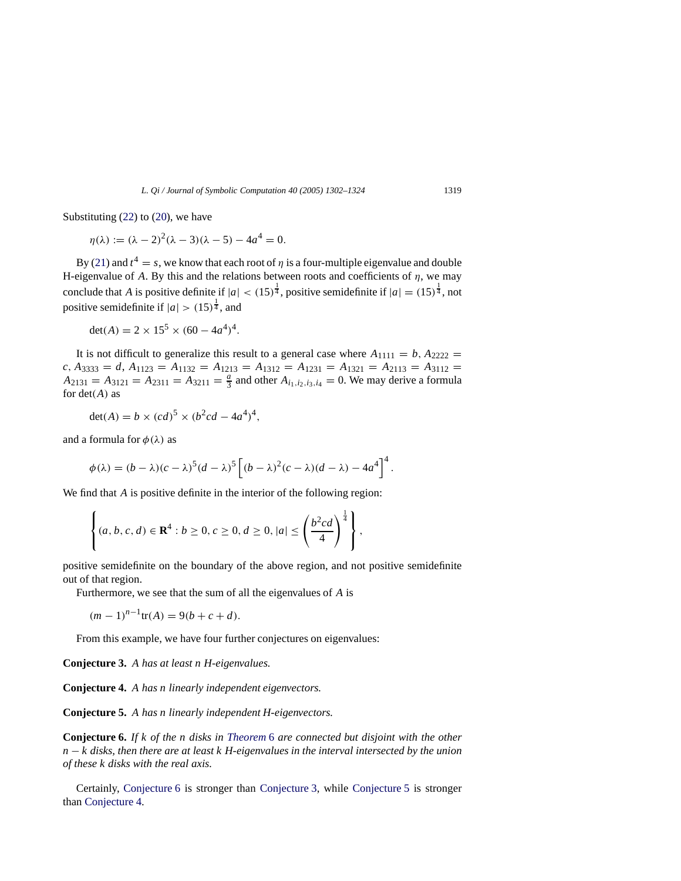Substituting [\(22\)](#page-16-3) to [\(20\)](#page-16-4), we have

 $\eta(\lambda) := (\lambda - 2)^2 (\lambda - 3)(\lambda - 5) - 4a^4 = 0.$ 

By [\(21\)](#page-16-2) and  $t^4 = s$ , we know that each root of  $\eta$  is a four-multiple eigenvalue and double H-eigenvalue of *A*. By this and the relations between roots and coefficients of  $\eta$ , we may conclude that *A* is positive definite if  $|a| < (15)^{\frac{1}{4}}$ , positive semidefinite if  $|a| = (15)^{\frac{1}{4}}$ , not positive semidefinite if  $|a| > (15)^{\frac{1}{4}}$ , and

$$
det(A) = 2 \times 15^5 \times (60 - 4a^4)^4.
$$

It is not difficult to generalize this result to a general case where  $A_{1111} = b$ ,  $A_{2222} =$  $c, A_{3333} = d, A_{1123} = A_{1132} = A_{1213} = A_{1312} = A_{1231} = A_{1321} = A_{2113} = A_{3112} =$  $A_{2131} = A_{3121} = A_{2311} = A_{3211} = \frac{a}{3}$  and other  $A_{i_1,i_2,i_3,i_4} = 0$ . We may derive a formula for det(*A*) as

$$
\det(A) = b \times (cd)^5 \times (b^2cd - 4a^4)^4,
$$

and a formula for  $\phi(\lambda)$  as

$$
\phi(\lambda) = (b - \lambda)(c - \lambda)^5 (d - \lambda)^5 \left[ (b - \lambda)^2 (c - \lambda)(d - \lambda) - 4a^4 \right]^4.
$$

We find that *A* is positive definite in the interior of the following region:

$$
\left\{ (a, b, c, d) \in \mathbf{R}^4 : b \ge 0, c \ge 0, d \ge 0, |a| \le \left(\frac{b^2cd}{4}\right)^{\frac{1}{4}} \right\},\
$$

positive semidefinite on the boundary of the above region, and not positive semidefinite out of that region.

Furthermore, we see that the sum of all the eigenvalues of *A* is

$$
(m-1)^{n-1}\text{tr}(A) = 9(b+c+d).
$$

From this example, we have four further conjectures on eigenvalues:

<span id="page-17-1"></span>**Conjecture 3.** *A has at least n H-eigenvalues.*

<span id="page-17-3"></span>**Conjecture 4.** *A has n linearly independent eigenvectors.*

<span id="page-17-2"></span>**Conjecture 5.** *A has n linearly independent H-eigenvectors.*

<span id="page-17-0"></span>**Conjecture 6.** *If k of the n disks in [Theorem](#page-14-2)* [6](#page-14-2) *are connected but disjoint with the other n* − *k* disks, then there are at least k H-eigenvalues in the interval intersected by the union *of these k disks with the real axis.*

Certainly, [Conjecture 6](#page-17-0) is stronger than [Conjecture 3,](#page-17-1) while [Conjecture 5](#page-17-2) is stronger than [Conjecture 4.](#page-17-3)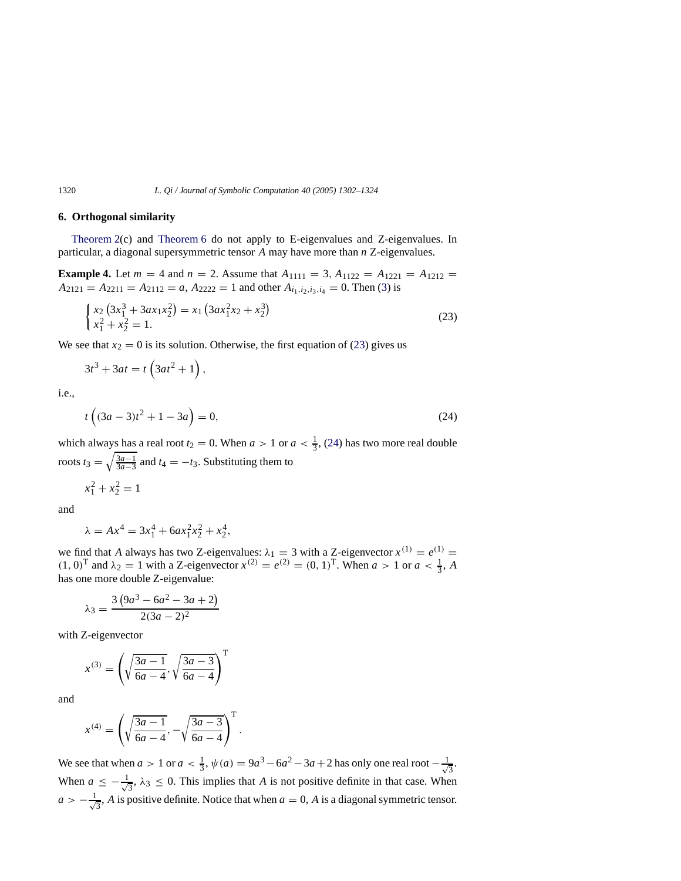# <span id="page-18-0"></span>**6. Orthogonal similarity**

<span id="page-18-3"></span>[Theorem 2\(](#page-10-2)c) and [Theorem 6](#page-14-2) do not apply to E-eigenvalues and Z-eigenvalues. In particular, a diagonal supersymmetric tensor *A* may have more than *n* Z-eigenvalues.

**Example 4.** Let  $m = 4$  and  $n = 2$ . Assume that  $A_{1111} = 3$ ,  $A_{1122} = A_{1221} = A_{1212} =$  $A_{2121} = A_{2211} = A_{2112} = a$ ,  $A_{2222} = 1$  and other  $A_{i_1,i_2,i_3,i_4} = 0$ . Then [\(3\)](#page-2-1) is

<span id="page-18-1"></span>
$$
\begin{cases} x_2 \left(3x_1^3 + 3ax_1x_2^2\right) = x_1 \left(3ax_1^2x_2 + x_2^3\right) \\ x_1^2 + x_2^2 = 1. \end{cases} \tag{23}
$$

We see that  $x_2 = 0$  is its solution. Otherwise, the first equation of [\(23\)](#page-18-1) gives us

$$
3t^3 + 3at = t\left(3at^2 + 1\right),
$$

<span id="page-18-2"></span>i.e.,

$$
t\left((3a-3)t^2+1-3a\right) = 0,\t(24)
$$

which always has a real root  $t_2 = 0$ . When  $a > 1$  or  $a < \frac{1}{3}$ , [\(24\)](#page-18-2) has two more real double roots  $t_3 = \sqrt{\frac{3a-1}{3a-3}}$  and  $t_4 = -t_3$ . Substituting them to

$$
x_1^2 + x_2^2 = 1
$$

and

$$
\lambda = Ax^4 = 3x_1^4 + 6ax_1^2x_2^2 + x_2^4,
$$

we find that *A* always has two Z-eigenvalues:  $\lambda_1 = 3$  with a Z-eigenvector  $x^{(1)} = e^{(1)} =$  $(1, 0)^T$  and  $\lambda_2 = 1$  with a Z-eigenvector  $x^{(2)} = e^{(2)} = (0, 1)^T$ . When  $a > 1$  or  $a < \frac{1}{3}$ , A has one more double Z-eigenvalue:

$$
\lambda_3 = \frac{3(9a^3 - 6a^2 - 3a + 2)}{2(3a - 2)^2}
$$

with Z-eigenvector

$$
x^{(3)} = \left(\sqrt{\frac{3a-1}{6a-4}}, \sqrt{\frac{3a-3}{6a-4}}\right)^{T}
$$

and

$$
x^{(4)} = \left(\sqrt{\frac{3a-1}{6a-4}}, -\sqrt{\frac{3a-3}{6a-4}}\right)^{\mathrm{T}}.
$$

We see that when  $a > 1$  or  $a < \frac{1}{3}$ ,  $\psi(a) = 9a^3 - 6a^2 - 3a + 2$  has only one real root  $-\frac{1}{\sqrt{3}}$  $\overline{3}$ . When  $a \leq -\frac{1}{4}$  $\frac{1}{3}$ ,  $\lambda_3 \leq 0$ . This implies that *A* is not positive definite in that case. When  $a > -\frac{1}{4}$  $\frac{1}{3}$ , *A* is positive definite. Notice that when  $a = 0$ , *A* is a diagonal symmetric tensor.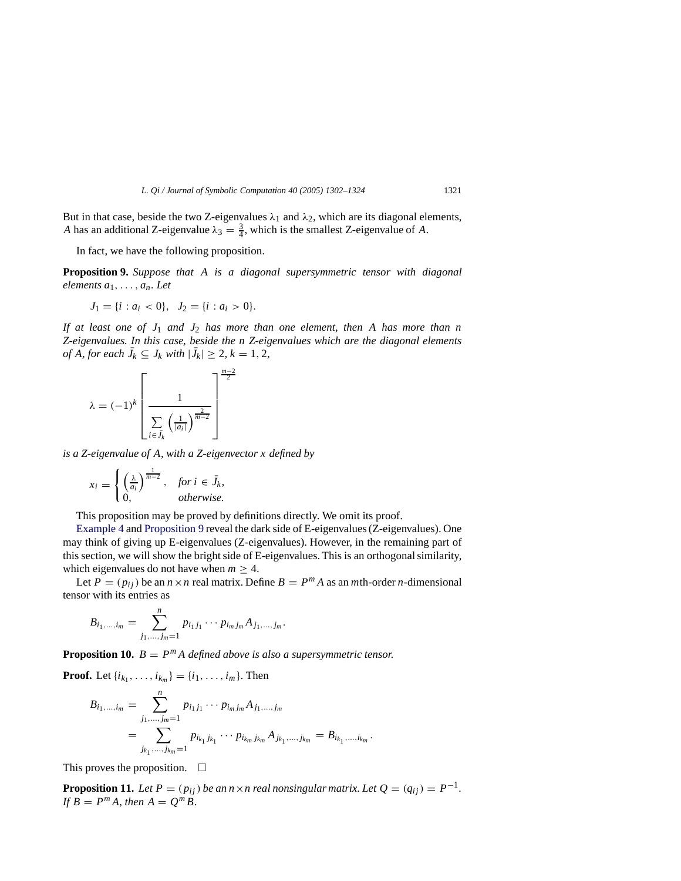But in that case, beside the two Z-eigenvalues  $\lambda_1$  and  $\lambda_2$ , which are its diagonal elements, *A* has an additional Z-eigenvalue  $\lambda_3 = \frac{3}{4}$ , which is the smallest Z-eigenvalue of *A*.

In fact, we have the following proposition.

<span id="page-19-0"></span>**Proposition 9.** *Suppose that A is a diagonal supersymmetric tensor with diagonal elements a*1,..., *an. Let*

$$
J_1 = \{i : a_i < 0\}, \quad J_2 = \{i : a_i > 0\}.
$$

*If at least one of J*<sup>1</sup> *and J*<sup>2</sup> *has more than one element, then A has more than n Z-eigenvalues. In this case, beside the n Z-eigenvalues which are the diagonal elements of A*, *for each*  $\bar{J}_k \subseteq J_k$  *with*  $|\bar{J}_k| \geq 2$ ,  $k = 1, 2$ ,

$$
\lambda = (-1)^k \left[ \frac{1}{\sum_{i \in \bar{J}_k} \left( \frac{1}{|a_i|} \right)^{\frac{2}{m-2}}} \right]^{\frac{m-2}{2}}
$$

*is a Z-eigenvalue of A, with a Z-eigenvector x defined by*

$$
x_i = \begin{cases} \left(\frac{\lambda}{a_i}\right)^{\frac{1}{m-2}}, & \text{for } i \in \bar{J}_k, \\ 0, & \text{otherwise.} \end{cases}
$$

This proposition may be proved by definitions directly. We omit its proof.

[Example 4](#page-18-3) and [Proposition 9](#page-19-0) reveal the dark side of E-eigenvalues (Z-eigenvalues). One may think of giving up E-eigenvalues (Z-eigenvalues). However, in the remaining part of this section, we will show the bright side of E-eigenvalues. This is an orthogonal similarity, which eigenvalues do not have when  $m \geq 4$ .

Let  $P = (p_{ij})$  be an  $n \times n$  real matrix. Define  $B = P^m A$  as an *m*th-order *n*-dimensional tensor with its entries as

$$
B_{i_1,\dots,i_m} = \sum_{j_1,\dots,j_m=1}^n p_{i_1j_1}\cdots p_{i_mj_m}A_{j_1,\dots,j_m}.
$$

**Proposition 10.**  $B = P^m A$  defined above is also a supersymmetric tensor.

**Proof.** Let  $\{i_{k_1}, \ldots, i_{k_m}\} = \{i_1, \ldots, i_m\}$ . Then

$$
B_{i_1,\dots,i_m} = \sum_{j_1,\dots,j_m=1}^n p_{i_1j_1}\cdots p_{i_mj_m}A_{j_1,\dots,j_m}
$$
  
= 
$$
\sum_{j_{k_1},\dots,j_{k_m}=1}^n p_{i_{k_1}j_{k_1}}\cdots p_{i_{k_m}j_{k_m}}A_{j_{k_1},\dots,j_{k_m}} = B_{i_{k_1},\dots,i_{k_m}}.
$$

This proves the proposition.  $\Box$ 

**Proposition 11.** Let  $P = (p_{ij})$  be an  $n \times n$  real nonsingular matrix. Let  $Q = (q_{ij}) = P^{-1}$ . *If*  $B = P^m A$ , then  $A = Q^m B$ .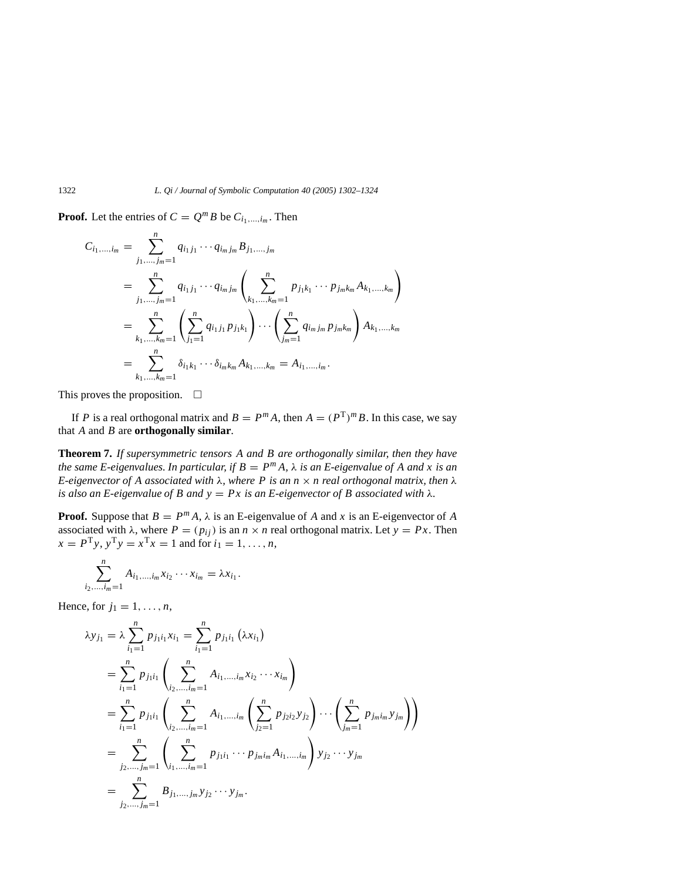**Proof.** Let the entries of  $C = Q^m B$  be  $C_{i_1,\dots,i_m}$ . Then

$$
C_{i_1,\dots,i_m} = \sum_{j_1,\dots,j_m=1}^n q_{i_1j_1}\cdots q_{i_mj_m} B_{j_1,\dots,j_m}
$$
  
= 
$$
\sum_{j_1,\dots,j_m=1}^n q_{i_1j_1}\cdots q_{i_mj_m} \left( \sum_{k_1,\dots,k_m=1}^n p_{j_1k_1}\cdots p_{j_mk_m} A_{k_1,\dots,k_m} \right)
$$
  
= 
$$
\sum_{k_1,\dots,k_m=1}^n \left( \sum_{j_1=1}^n q_{i_1j_1} p_{j_1k_1} \right) \cdots \left( \sum_{j_m=1}^n q_{i_mj_m} p_{j_mk_m} \right) A_{k_1,\dots,k_m}
$$
  
= 
$$
\sum_{k_1,\dots,k_m=1}^n \delta_{i_1k_1}\cdots \delta_{i_mk_m} A_{k_1,\dots,k_m} = A_{i_1,\dots,i_m}.
$$

This proves the proposition.  $\Box$ 

If *P* is a real orthogonal matrix and  $B = P^m A$ , then  $A = (P^T)^m B$ . In this case, we say that *A* and *B* are **orthogonally similar**.

**Theorem 7.** *If supersymmetric tensors A and B are orthogonally similar, then they have the same E-eigenvalues. In particular, if*  $B = P^m A$ ,  $\lambda$  *is an E-eigenvalue of* A *and* x *is an E-eigenvector of A associated with* λ*, where P is an n* × *n real orthogonal matrix, then* λ *is also an E-eigenvalue of B and*  $y = Px$  *is an E-eigenvector of B associated with*  $\lambda$ *.* 

**Proof.** Suppose that  $B = P^m A$ ,  $\lambda$  is an E-eigenvalue of *A* and *x* is an E-eigenvector of *A* associated with  $\lambda$ , where  $P = (p_{ij})$  is an  $n \times n$  real orthogonal matrix. Let  $y = Px$ . Then  $x = P^{T}y$ ,  $y^{T}y = x^{T}x = 1$  and for  $i_1 = 1, ..., n$ ,

$$
\sum_{i_2,\dots,i_m=1}^n A_{i_1,\dots,i_m} x_{i_2} \cdots x_{i_m} = \lambda x_{i_1}.
$$

Hence, for  $j_1 = 1, \ldots, n$ ,

$$
\lambda y_{j_1} = \lambda \sum_{i_1=1}^n p_{j_1 i_1} x_{i_1} = \sum_{i_1=1}^n p_{j_1 i_1} (\lambda x_{i_1})
$$
  
\n
$$
= \sum_{i_1=1}^n p_{j_1 i_1} \left( \sum_{i_2,\dots,i_m=1}^n A_{i_1,\dots,i_m} x_{i_2} \cdots x_{i_m} \right)
$$
  
\n
$$
= \sum_{i_1=1}^n p_{j_1 i_1} \left( \sum_{i_2,\dots,i_m=1}^n A_{i_1,\dots,i_m} \left( \sum_{j_2=1}^n p_{j_2 i_2} y_{j_2} \right) \cdots \left( \sum_{j_m=1}^n p_{j_m i_m} y_{j_m} \right) \right)
$$
  
\n
$$
= \sum_{j_2,\dots,j_m=1}^n \left( \sum_{i_1,\dots,i_m=1}^n p_{j_1 i_1} \cdots p_{j_m i_m} A_{i_1,\dots,i_m} \right) y_{j_2} \cdots y_{j_m}
$$
  
\n
$$
= \sum_{j_2,\dots,j_m=1}^n B_{j_1,\dots,j_m} y_{j_2} \cdots y_{j_m}.
$$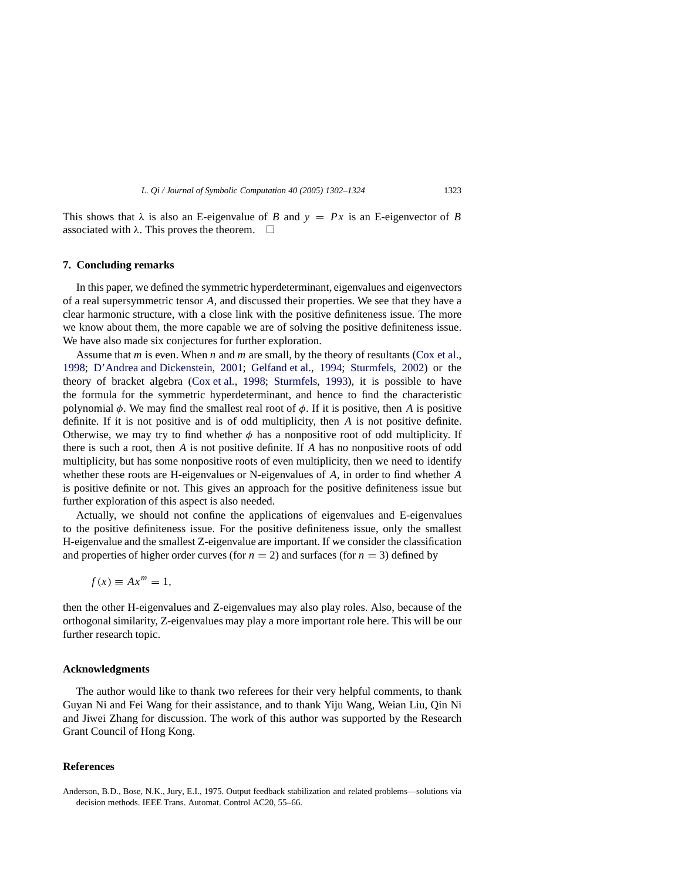This shows that  $\lambda$  is also an E-eigenvalue of *B* and  $y = Px$  is an E-eigenvector of *B* associated with  $\lambda$ . This proves the theorem.  $\Box$ 

#### <span id="page-21-1"></span>**7. Concluding remarks**

In this paper, we defined the symmetric hyperdeterminant, eigenvalues and eigenvectors of a real supersymmetric tensor *A*, and discussed their properties. We see that they have a clear harmonic structure, with a close link with the positive definiteness issue. The more we know about them, the more capable we are of solving the positive definiteness issue. We have also made six conjectures for further exploration.

Assume that *m* is even. When *n* and *m* are small, by the theory of resultants [\(Cox et al.,](#page-22-14) [1998;](#page-22-14) [D'Andrea and Dickenstein,](#page-22-15) [2001;](#page-22-15) [Gelfand et al.,](#page-22-2) [1994;](#page-22-2) [Sturmfels,](#page-22-16) [2002\)](#page-22-16) or the theory of bracket algebra [\(Cox et al.](#page-22-14), [1998;](#page-22-14) [Sturmfels](#page-22-18), [1993\)](#page-22-18), it is possible to have the formula for the symmetric hyperdeterminant, and hence to find the characteristic polynomial  $\phi$ . We may find the smallest real root of  $\phi$ . If it is positive, then *A* is positive definite. If it is not positive and is of odd multiplicity, then *A* is not positive definite. Otherwise, we may try to find whether  $\phi$  has a nonpositive root of odd multiplicity. If there is such a root, then *A* is not positive definite. If *A* has no nonpositive roots of odd multiplicity, but has some nonpositive roots of even multiplicity, then we need to identify whether these roots are H-eigenvalues or N-eigenvalues of *A*, in order to find whether *A* is positive definite or not. This gives an approach for the positive definiteness issue but further exploration of this aspect is also needed.

Actually, we should not confine the applications of eigenvalues and E-eigenvalues to the positive definiteness issue. For the positive definiteness issue, only the smallest H-eigenvalue and the smallest Z-eigenvalue are important. If we consider the classification and properties of higher order curves (for  $n = 2$ ) and surfaces (for  $n = 3$ ) defined by

 $f(x) \equiv Ax^m = 1$ ,

then the other H-eigenvalues and Z-eigenvalues may also play roles. Also, because of the orthogonal similarity, Z-eigenvalues may play a more important role here. This will be our further research topic.

#### **Acknowledgments**

The author would like to thank two referees for their very helpful comments, to thank Guyan Ni and Fei Wang for their assistance, and to thank Yiju Wang, Weian Liu, Qin Ni and Jiwei Zhang for discussion. The work of this author was supported by the Research Grant Council of Hong Kong.

#### **References**

<span id="page-21-0"></span>Anderson, B.D., Bose, N.K., Jury, E.I., 1975. Output feedback stabilization and related problems—solutions via decision methods. IEEE Trans. Automat. Control AC20, 55–66.